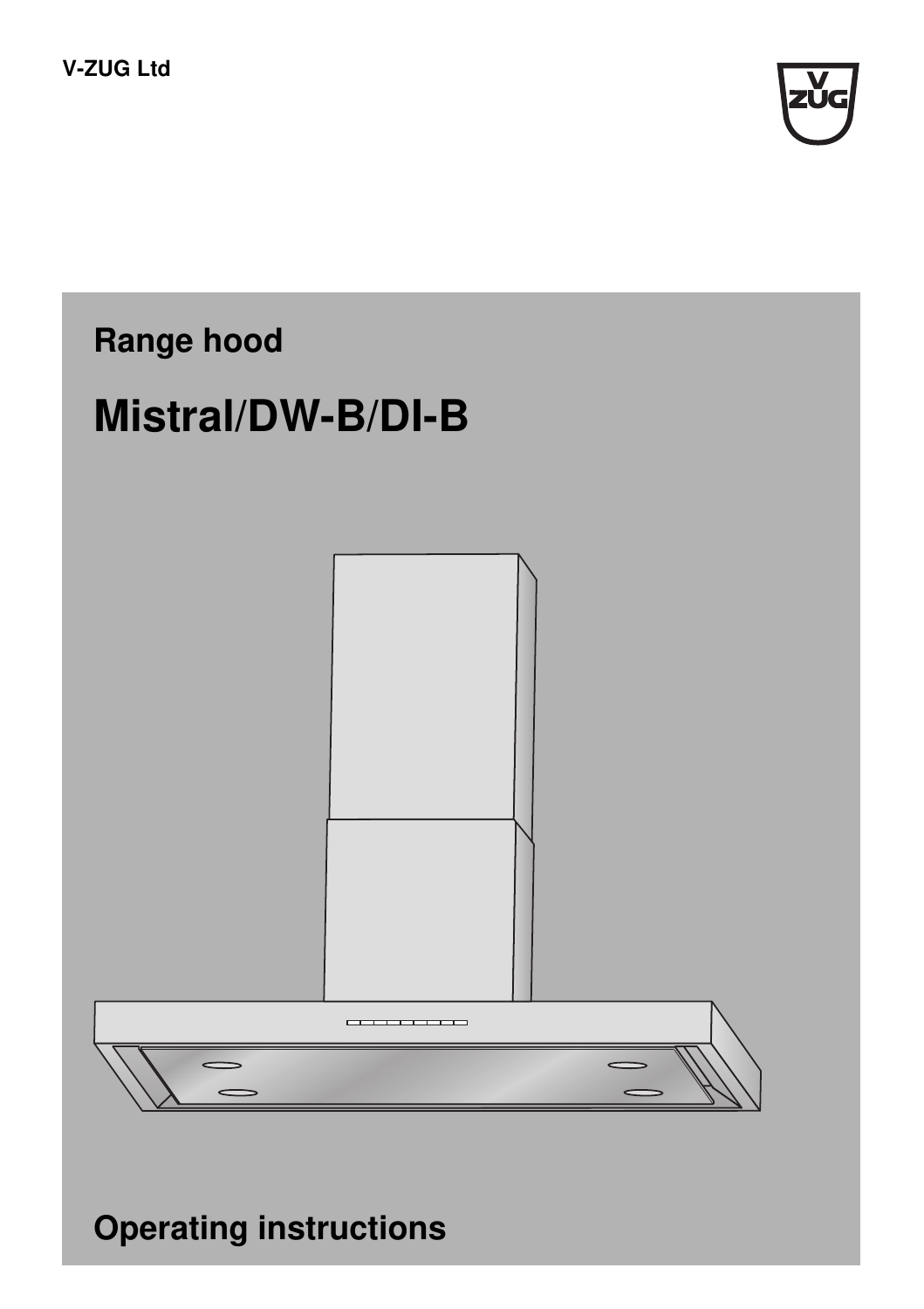



**Operating instructions**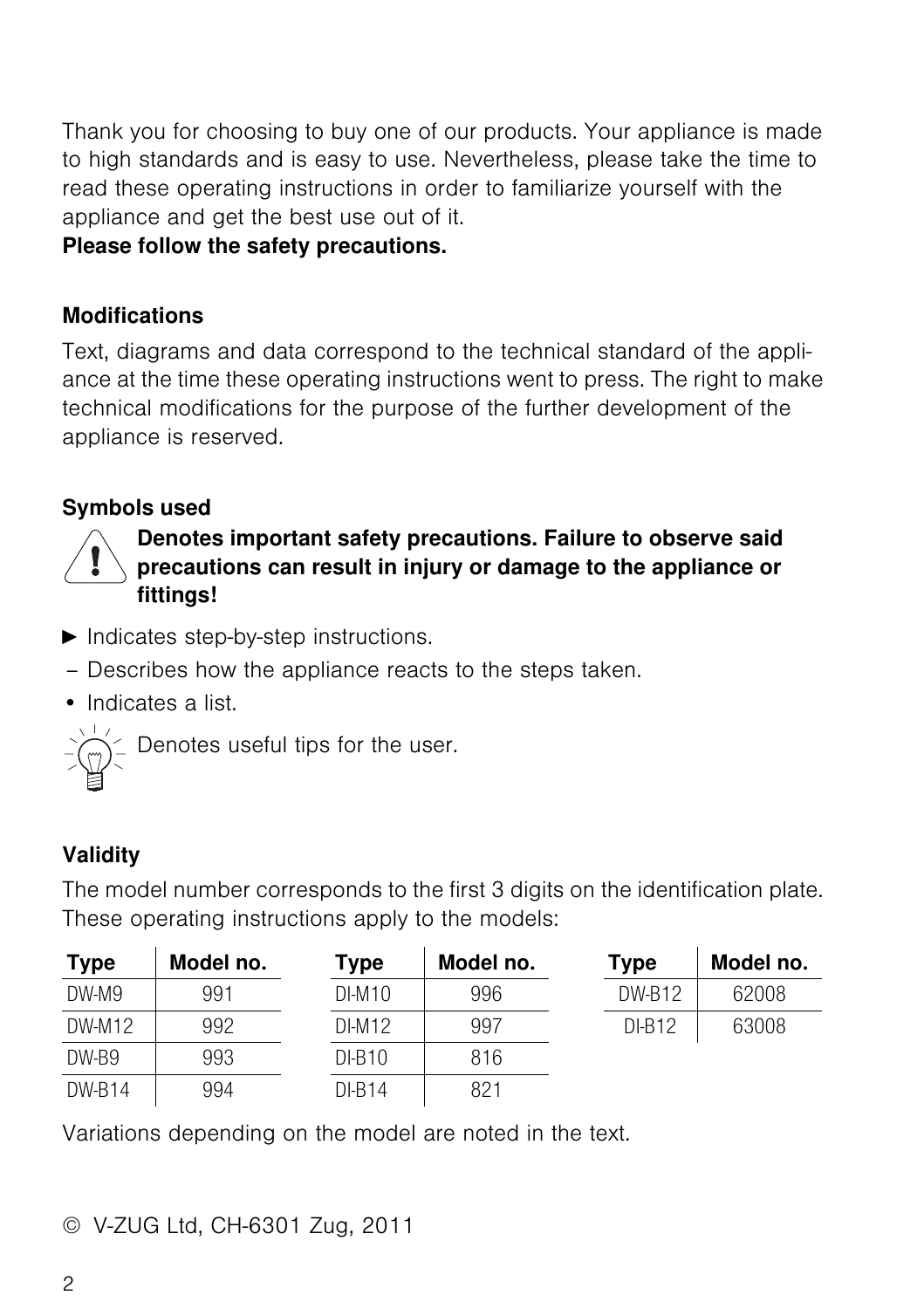Thank you for choosing to buy one of our products. Your appliance is made to high standards and is easy to use. Nevertheless, please take the time to read these operating instructions in order to familiarize yourself with the appliance and get the best use out of it.

#### **Please follow the safety precautions.**

#### **Modifications**

Text, diagrams and data correspond to the technical standard of the appliance at the time these operating instructions went to press. The right to make technical modifications for the purpose of the further development of the appliance is reserved.

### <span id="page-1-1"></span>**Symbols used**



#### **Denotes important safety precautions. Failure to observe said precautions can result in injury or damage to the appliance or fittings!**

- $\blacktriangleright$  Indicates step-by-step instructions.
- Describes how the appliance reacts to the steps taken.
- Indicates a list.



Denotes useful tips for the user.

### <span id="page-1-3"></span>**Validity**

The model number corresponds to the first 3 digits on the identification plate. These operating instructions apply to the models:

<span id="page-1-2"></span><span id="page-1-0"></span>

| <b>Type</b> | Model no. | <b>Type</b> | Model no. | <b>Type</b>   | Model no. |
|-------------|-----------|-------------|-----------|---------------|-----------|
| $DW-M9$     | 991       | $DI-M10$    | 996       | <b>DW-B12</b> | 62008     |
| DW-M12      | 992       | $DI-M12$    | 997       | $DI-B12$      | 63008     |
| DW-B9       | 993       | $DI-B10$    | 816       |               |           |
| DW-B14      | 994       | $DI-B14$    | 821       |               |           |

Variations depending on the model are noted in the text.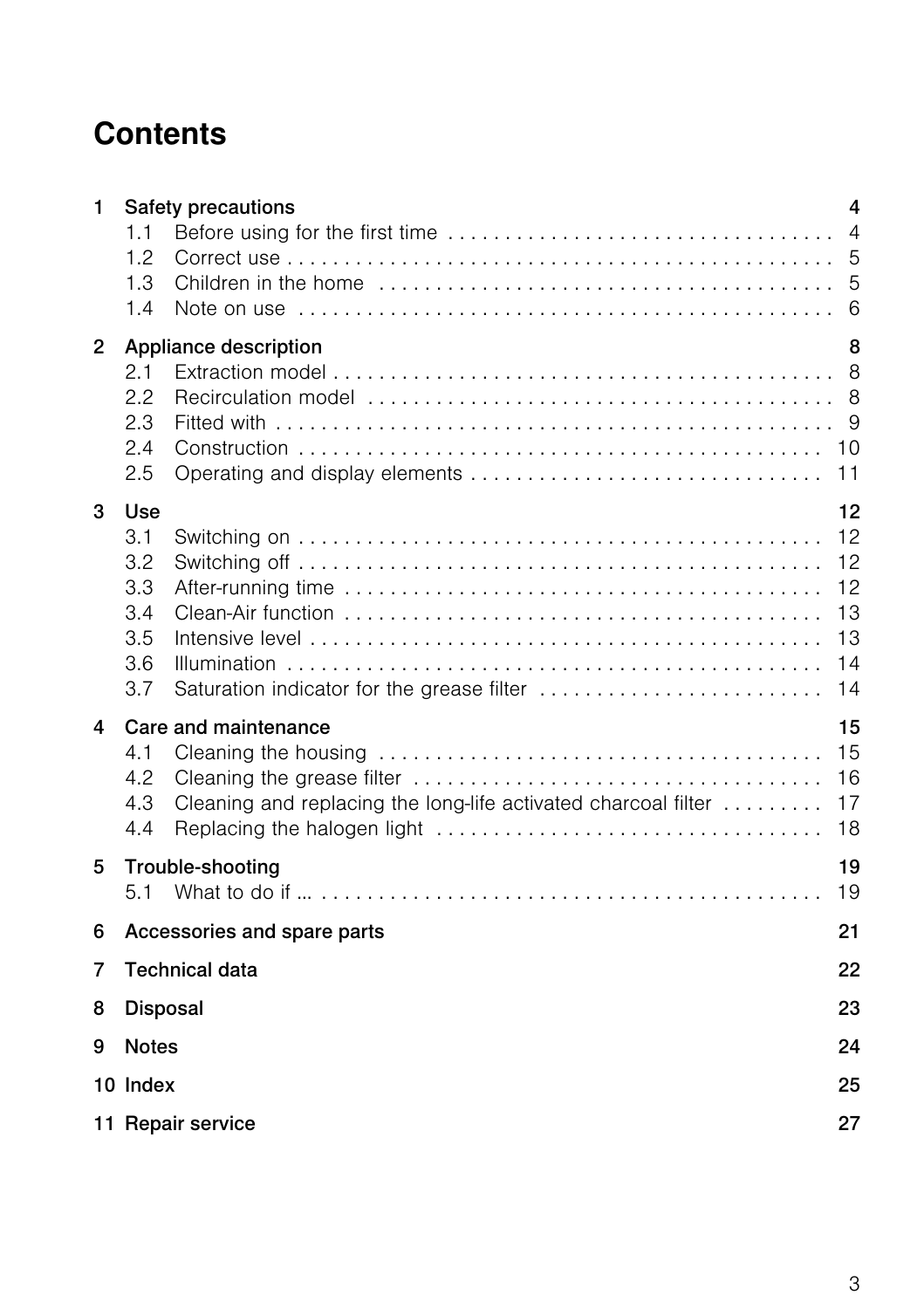# **Contents**

| 1 | Safety precautions<br>1.1<br>1.2<br>1.3<br>1.4<br>Note on use $\dots\dots\dots\dots\dots\dots\dots\dots\dots\dots\dots\dots\dots\dots\dots\dots\dots\dots$ |                                              |  |  |  |  |  |  |
|---|------------------------------------------------------------------------------------------------------------------------------------------------------------|----------------------------------------------|--|--|--|--|--|--|
| 2 | Appliance description<br>2.1<br>2.2<br>2.3<br>2.4<br>2.5                                                                                                   | 8<br>8<br>8<br>9<br>10<br>11                 |  |  |  |  |  |  |
| 3 | Use<br>3.1<br>3.2<br>3.3<br>3.4<br>3.5<br>3.6<br>3.7<br>Saturation indicator for the grease filter                                                         | 12<br>12<br>12<br>12<br>13<br>13<br>14<br>14 |  |  |  |  |  |  |
| 4 | Care and maintenance<br>4.1<br>4.2<br>Cleaning and replacing the long-life activated charcoal filter<br>4.3<br>4.4                                         | 15<br>15<br>16<br>17<br>18                   |  |  |  |  |  |  |
| 5 | Trouble-shooting<br>5.1                                                                                                                                    | 19<br>19                                     |  |  |  |  |  |  |
| 6 | 21<br>Accessories and spare parts                                                                                                                          |                                              |  |  |  |  |  |  |
| 7 | <b>Technical data</b><br>22                                                                                                                                |                                              |  |  |  |  |  |  |
| 8 | Disposal<br>23                                                                                                                                             |                                              |  |  |  |  |  |  |
| 9 | <b>Notes</b>                                                                                                                                               | 24                                           |  |  |  |  |  |  |
|   | 10 Index                                                                                                                                                   | 25                                           |  |  |  |  |  |  |
|   | 11 Repair service                                                                                                                                          | 27                                           |  |  |  |  |  |  |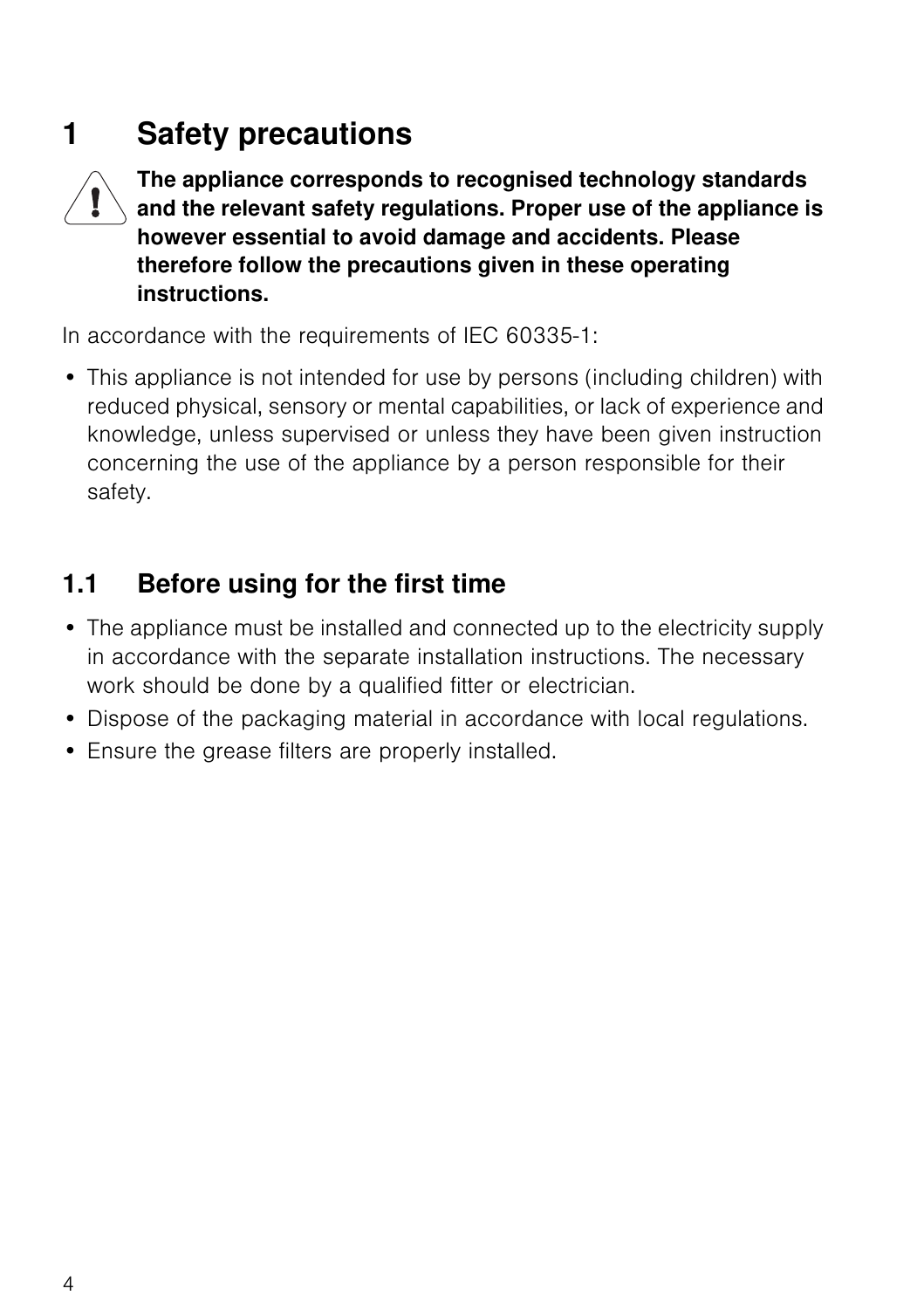# <span id="page-3-0"></span>**1 Safety precautions**



**The appliance corresponds to recognised technology standards and the relevant safety regulations. Proper use of the appliance is however essential to avoid damage and accidents. Please therefore follow the precautions given in these operating instructions.**

In accordance with the requirements of IEC 60335-1:

• This appliance is not intended for use by persons (including children) with reduced physical, sensory or mental capabilities, or lack of experience and knowledge, unless supervised or unless they have been given instruction concerning the use of the appliance by a person responsible for their safety.

## <span id="page-3-2"></span><span id="page-3-1"></span>**1.1 Before using for the first time**

- The appliance must be installed and connected up to the electricity supply in accordance with the separate installation instructions. The necessary work should be done by a qualified fitter or electrician.
- Dispose of the packaging material in accordance with local regulations.
- Ensure the grease filters are properly installed.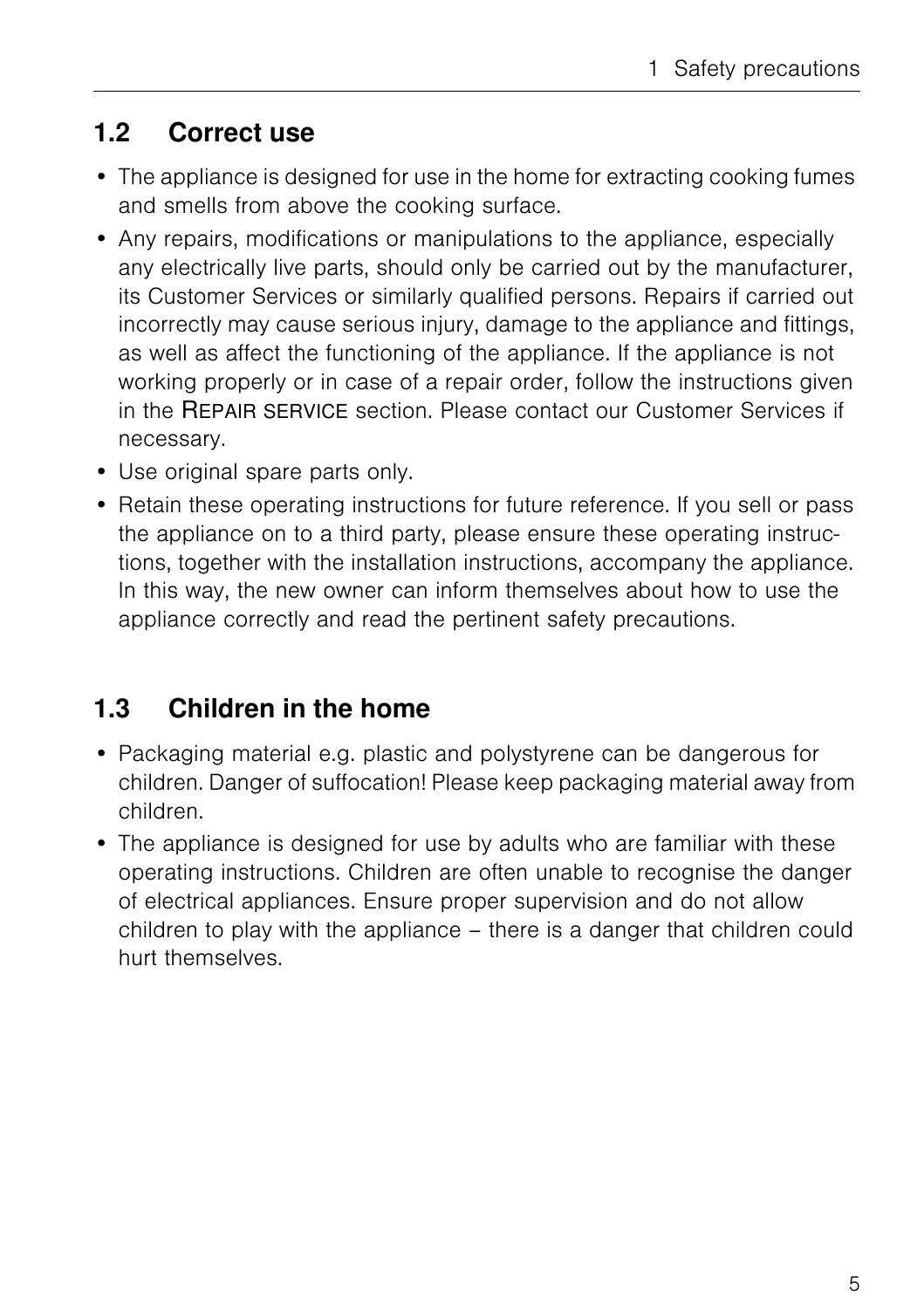## <span id="page-4-3"></span><span id="page-4-0"></span>**1.2 Correct use**

- The appliance is designed for use in the home for extracting cooking fumes and smells from above the cooking surface.
- Any repairs, modifications or manipulations to the appliance, especially any electrically live parts, should only be carried out by the manufacturer, its Customer Services or similarly qualified persons. Repairs if carried out incorrectly may cause serious injury, damage to the appliance and fittings, as well as affect the functioning of the appliance. If the appliance is not working properly or in case of a repair order, follow the instructions given in the REPAIR SERVICE section. Please contact our Customer Services if necessary.
- Use original spare parts only.
- Retain these operating instructions for future reference. If you sell or pass the appliance on to a third party, please ensure these operating instructions, together with the installation instructions, accompany the appliance. In this way, the new owner can inform themselves about how to use the appliance correctly and read the pertinent safety precautions.

## <span id="page-4-2"></span><span id="page-4-1"></span>**1.3 Children in the home**

- Packaging material e.g. plastic and polystyrene can be dangerous for children. Danger of suffocation! Please keep packaging material away from children.
- The appliance is designed for use by adults who are familiar with these operating instructions. Children are often unable to recognise the danger of electrical appliances. Ensure proper supervision and do not allow children to play with the appliance – there is a danger that children could hurt themselves.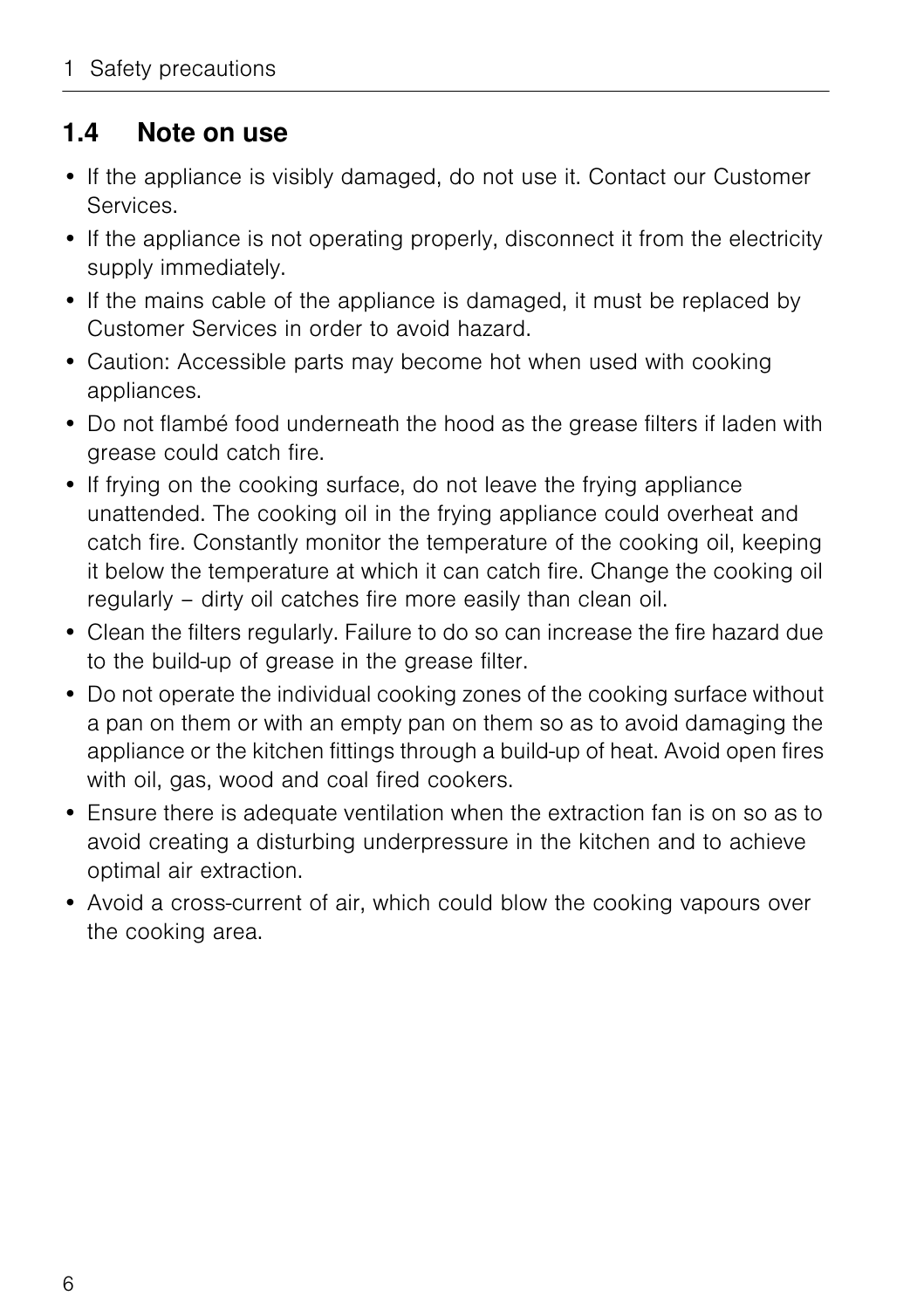### <span id="page-5-1"></span><span id="page-5-0"></span>**1.4 Note on use**

- If the appliance is visibly damaged, do not use it. Contact our Customer Services.
- If the appliance is not operating properly, disconnect it from the electricity supply immediately.
- If the mains cable of the appliance is damaged, it must be replaced by Customer Services in order to avoid hazard.
- Caution: Accessible parts may become hot when used with cooking appliances.
- Do not flambé food underneath the hood as the grease filters if laden with grease could catch fire.
- If frying on the cooking surface, do not leave the frying appliance unattended. The cooking oil in the frying appliance could overheat and catch fire. Constantly monitor the temperature of the cooking oil, keeping it below the temperature at which it can catch fire. Change the cooking oil regularly – dirty oil catches fire more easily than clean oil.
- Clean the filters regularly. Failure to do so can increase the fire hazard due to the build-up of grease in the grease filter.
- Do not operate the individual cooking zones of the cooking surface without a pan on them or with an empty pan on them so as to avoid damaging the appliance or the kitchen fittings through a build-up of heat. Avoid open fires with oil, gas, wood and coal fired cookers.
- Ensure there is adequate ventilation when the extraction fan is on so as to avoid creating a disturbing underpressure in the kitchen and to achieve optimal air extraction.
- Avoid a cross-current of air, which could blow the cooking vapours over the cooking area.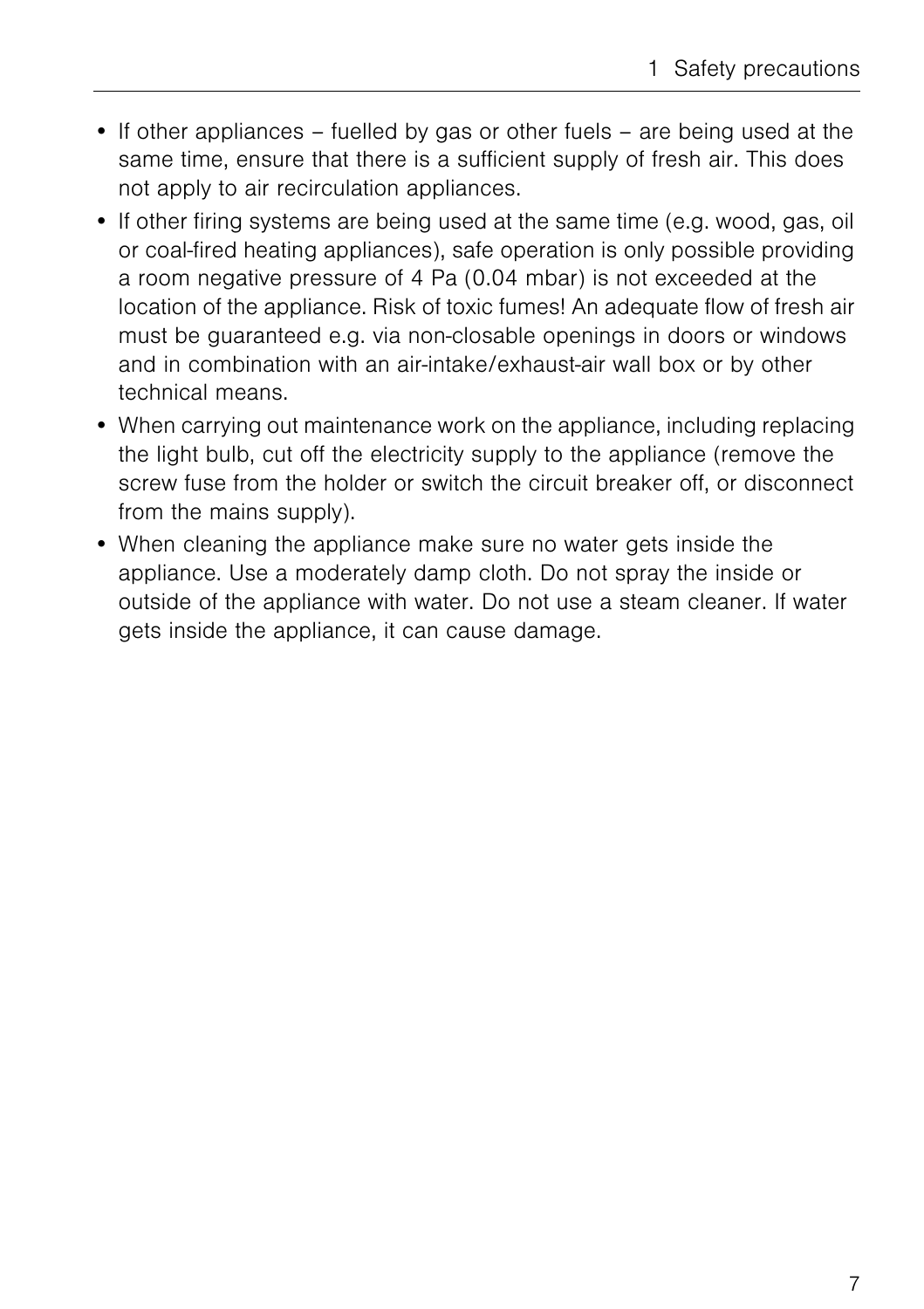- If other appliances fuelled by gas or other fuels are being used at the same time, ensure that there is a sufficient supply of fresh air. This does not apply to air recirculation appliances.
- If other firing systems are being used at the same time (e.g. wood, gas, oil or coal-fired heating appliances), safe operation is only possible providing a room negative pressure of 4 Pa (0.04 mbar) is not exceeded at the location of the appliance. Risk of toxic fumes! An adequate flow of fresh air must be guaranteed e.g. via non-closable openings in doors or windows and in combination with an air-intake/exhaust-air wall box or by other technical means.
- When carrying out maintenance work on the appliance, including replacing the light bulb, cut off the electricity supply to the appliance (remove the screw fuse from the holder or switch the circuit breaker off, or disconnect from the mains supply).
- When cleaning the appliance make sure no water gets inside the appliance. Use a moderately damp cloth. Do not spray the inside or outside of the appliance with water. Do not use a steam cleaner. If water gets inside the appliance, it can cause damage.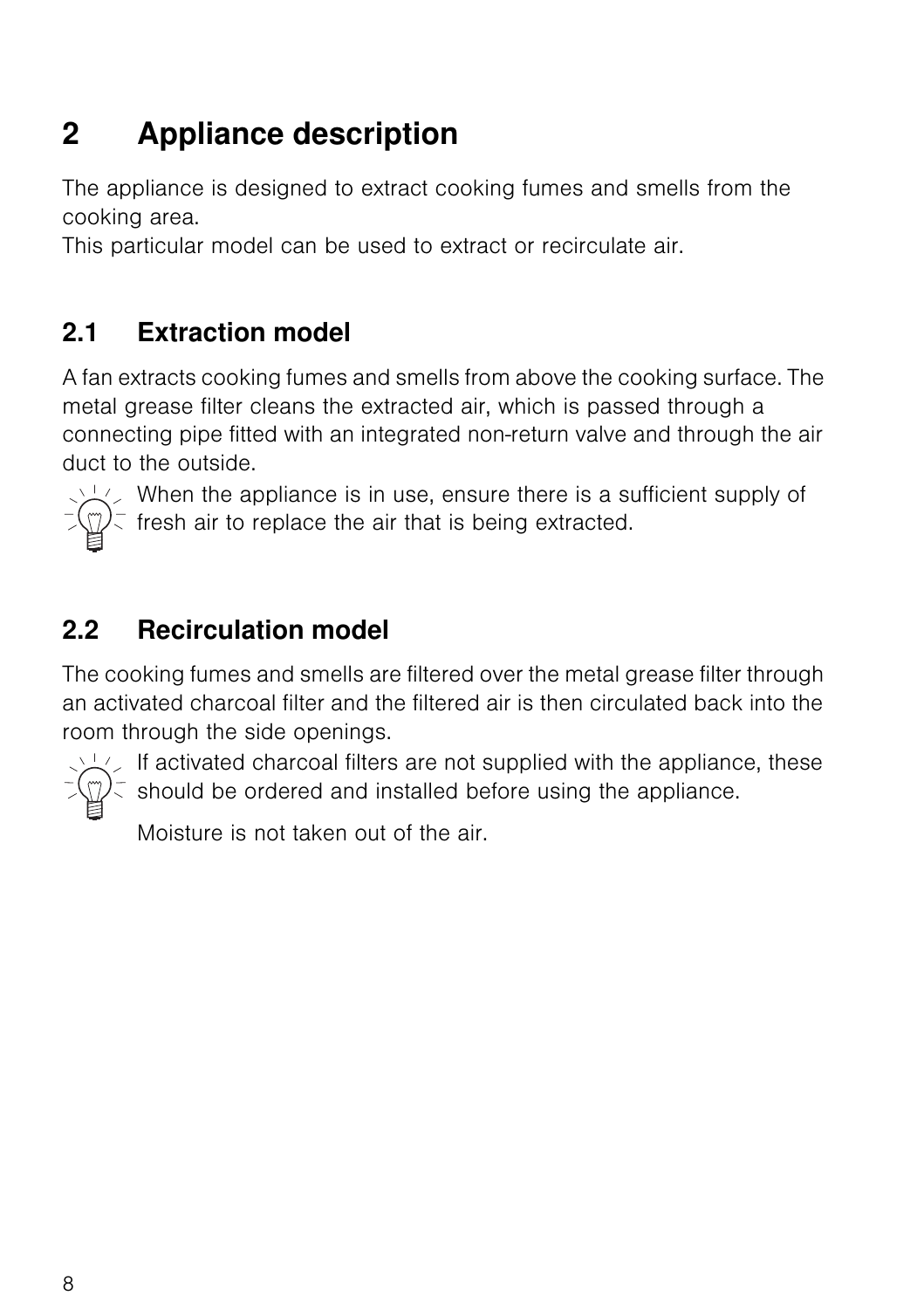# <span id="page-7-4"></span><span id="page-7-0"></span>**2 Appliance description**

The appliance is designed to extract cooking fumes and smells from the cooking area.

This particular model can be used to extract or recirculate air.

## <span id="page-7-5"></span><span id="page-7-1"></span>**2.1 Extraction model**

A fan extracts cooking fumes and smells from above the cooking surface. The metal grease filter cleans the extracted air, which is passed through a connecting pipe fitted with an integrated non-return valve and through the air duct to the outside.



When the appliance is in use, ensure there is a sufficient supply of  $\bar{f}(\mathbb{Z})$  fresh air to replace the air that is being extracted.

# <span id="page-7-6"></span><span id="page-7-2"></span>**2.2 Recirculation model**

<span id="page-7-3"></span>The cooking fumes and smells are filtered over the metal grease filter through an activated charcoal filter and the filtered air is then circulated back into the room through the side openings.



If activated charcoal filters are not supplied with the appliance, these  $\binom{m}{k}$  should be ordered and installed before using the appliance.

Moisture is not taken out of the air.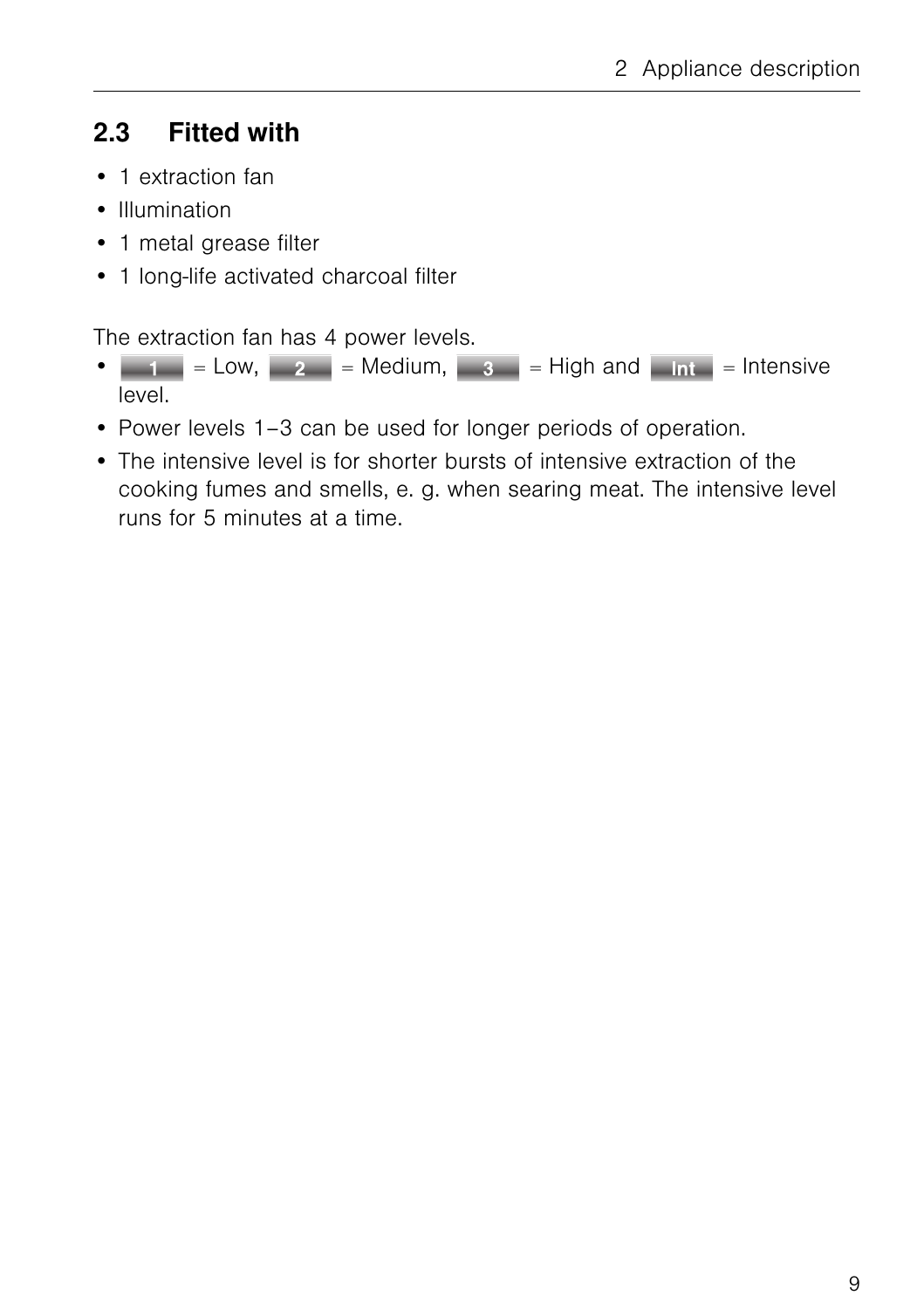## <span id="page-8-1"></span><span id="page-8-0"></span>**2.3 Fitted with**

- 1 extraction fan
- Illumination
- 1 metal grease filter
- 1 long-life activated charcoal filter

The extraction fan has 4 power levels.

- $\vert 1 \vert$  = Low,  $\vert 2 \vert$  = Medium,  $\vert 3 \vert$  = High and  $\vert$  Intensive level.
- Power levels 1–3 can be used for longer periods of operation.
- The intensive level is for shorter bursts of intensive extraction of the cooking fumes and smells, e. g. when searing meat. The intensive level runs for 5 minutes at a time.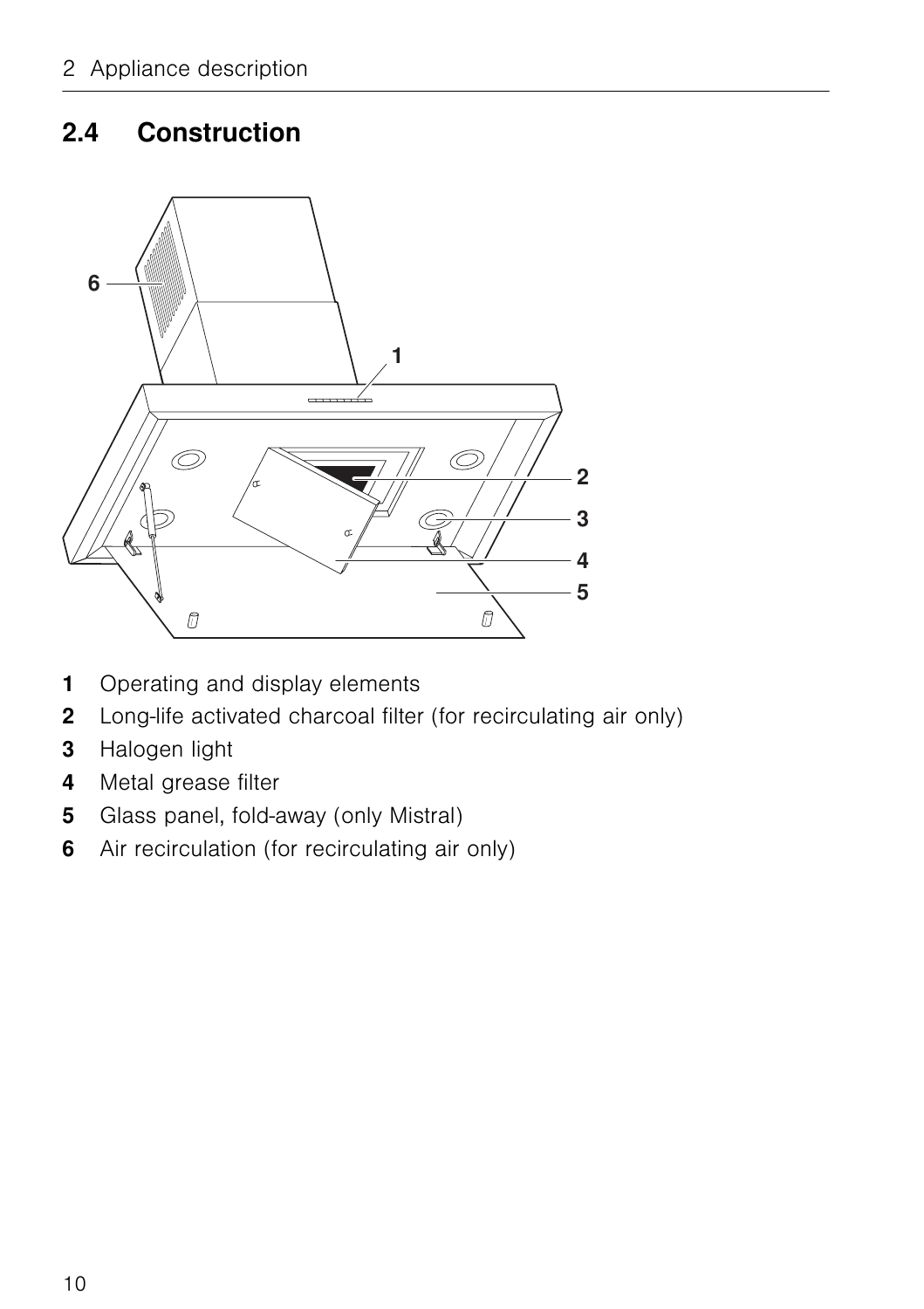## <span id="page-9-2"></span><span id="page-9-0"></span>**2.4 Construction**



- <span id="page-9-7"></span><span id="page-9-3"></span>Operating and display elements
- <span id="page-9-1"></span>Long-life activated charcoal filter (for recirculating air only)
- <span id="page-9-5"></span>Halogen light
- <span id="page-9-6"></span>Metal grease filter
- <span id="page-9-4"></span>Glass panel, fold-away (only Mistral)
- Air recirculation (for recirculating air only)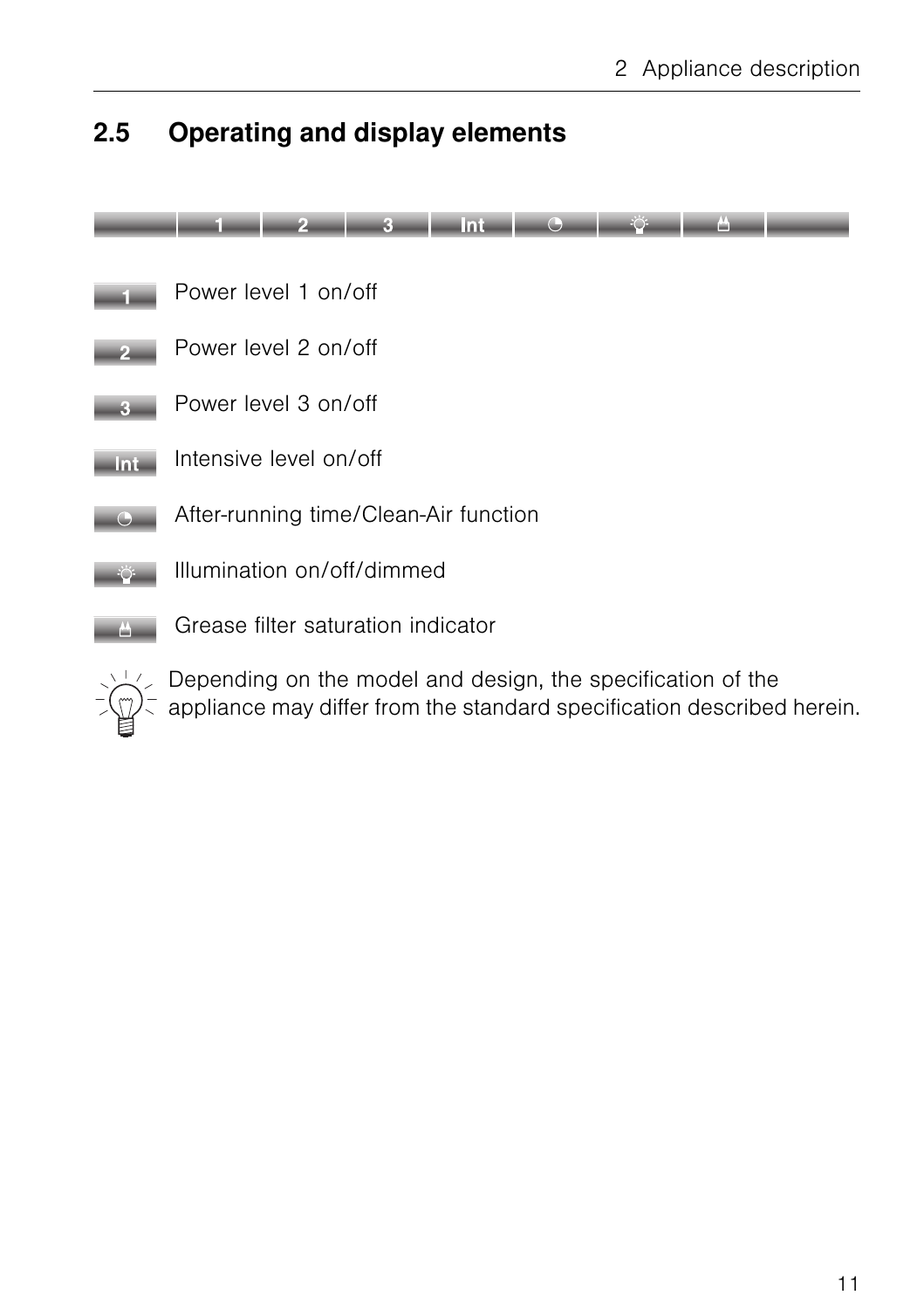## <span id="page-10-2"></span><span id="page-10-1"></span><span id="page-10-0"></span>**2.5 Operating and display elements**





 $\angle$  Depending on the model and design, the specification of the  $\pm \sqrt{2}$  appliance may differ from the standard specification described herein.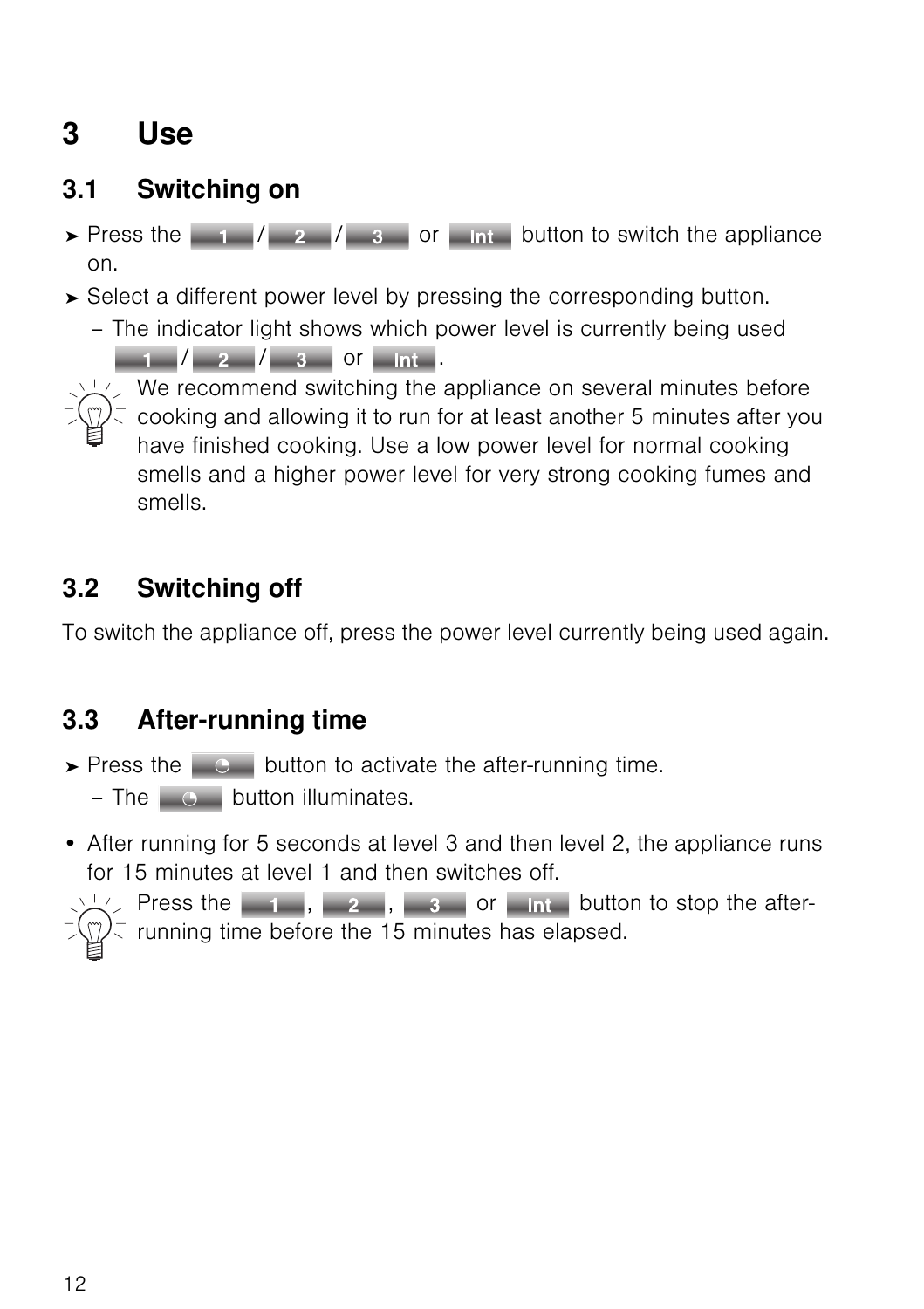# <span id="page-11-7"></span><span id="page-11-0"></span>**3 Use**

## <span id="page-11-6"></span><span id="page-11-1"></span>**3.1 Switching on**

- $\triangleright$  Press the  $\vert$  1  $\vert$  2  $\vert$  3 or button to switch the appliance on.
- ➤ Select a different power level by pressing the corresponding button.
	- The indicator light shows which power level is currently being used  $\begin{array}{|c|c|c|c|c|c|c|c|c|} \hline & 1 & / & 2 & / & 3 & \text{or} & \text{Int} \ \hline \end{array}$



 $\sqrt{2}$ . We recommend switching the appliance on several minutes before  $\bar{\zeta}$  cooking and allowing it to run for at least another 5 minutes after you have finished cooking. Use a low power level for normal cooking smells and a higher power level for very strong cooking fumes and smells.

## <span id="page-11-5"></span><span id="page-11-2"></span>**3.2 Switching off**

To switch the appliance off, press the power level currently being used again.

## <span id="page-11-4"></span><span id="page-11-3"></span>**3.3 After-running time**

- $\triangleright$  Press the  $\Box$   $\odot$  button to activate the after-running time.
	- $-$  The  $\circ$  button illuminates.
- After running for 5 seconds at level 3 and then level 2, the appliance runs for 15 minutes at level 1 and then switches off.

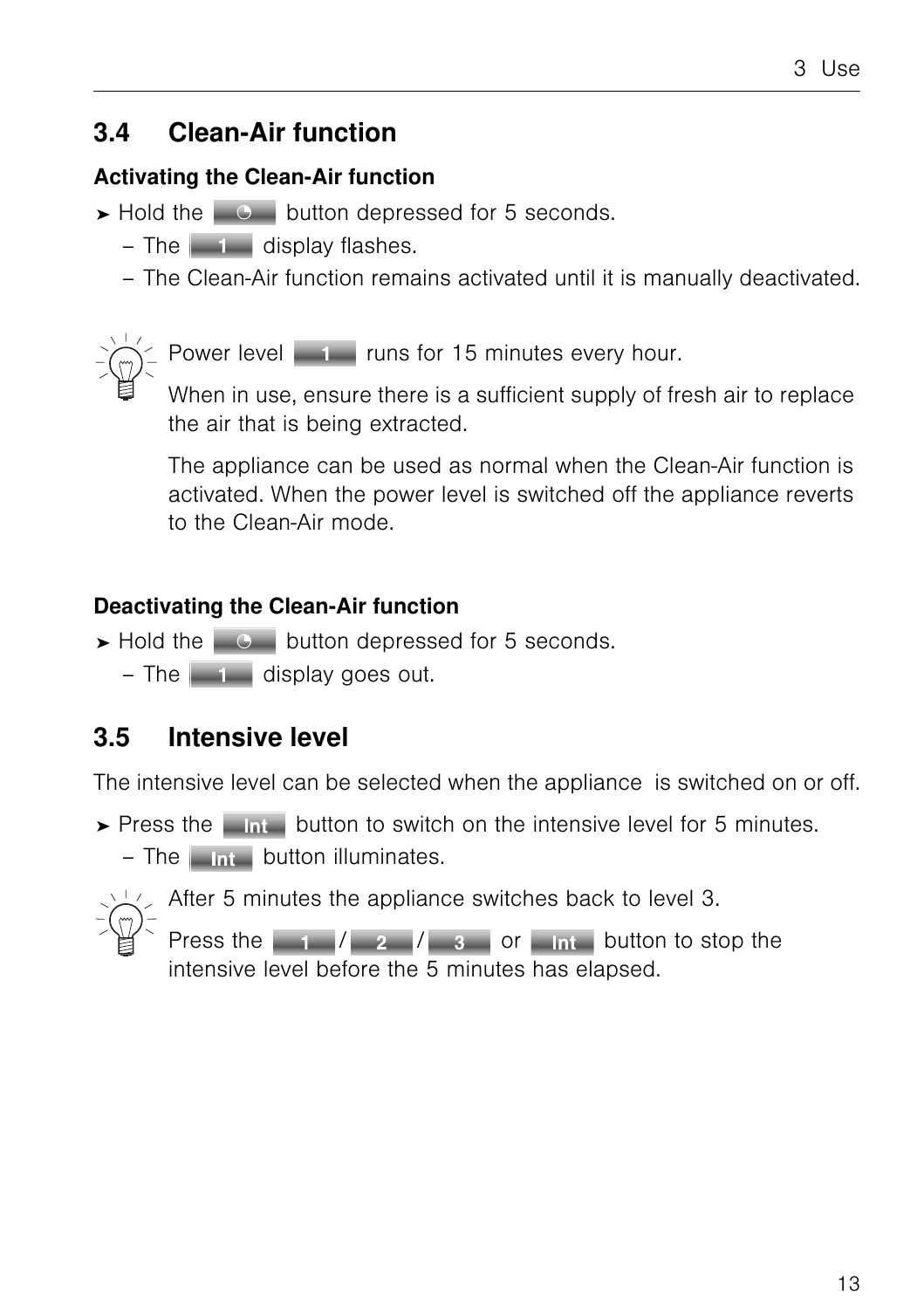## <span id="page-12-2"></span><span id="page-12-0"></span>**3.4 Clean-Air function**

### **Activating the Clean-Air function**

- $\triangleright$  Hold the  $\triangleright$   $\circ$  button depressed for 5 seconds.
	- $-$  The  $\overline{a}$  display flashes.
	- The Clean-Air function remains activated until it is manually deactivated.

Power level **1 runs for 15 minutes every hour.** 

When in use, ensure there is a sufficient supply of fresh air to replace the air that is being extracted.

The appliance can be used as normal when the Clean-Air function is activated. When the power level is switched off the appliance reverts to the Clean-Air mode.

### **Deactivating the Clean-Air function**

- $\triangleright$  Hold the  $\triangleright$   $\circ$  button depressed for 5 seconds.
	- $-$  The  $\blacksquare$  display goes out.

# <span id="page-12-3"></span><span id="page-12-1"></span>**3.5 Intensive level**

The intensive level can be selected when the appliance is switched on or off.

- $\triangleright$  Press the  $\blacksquare$  and button to switch on the intensive level for 5 minutes.
	- $-$  The  $\Box$  button illuminates.



 $\swarrow$  After 5 minutes the appliance switches back to level 3.

Press the  $\begin{array}{|c|c|c|c|c|c|}\n\hline\n1 & 2 & 3 & \text{or} & \text{Int} & \text{button to stop the}\n\hline\n\end{array}$ intensive level before the 5 minutes has elapsed.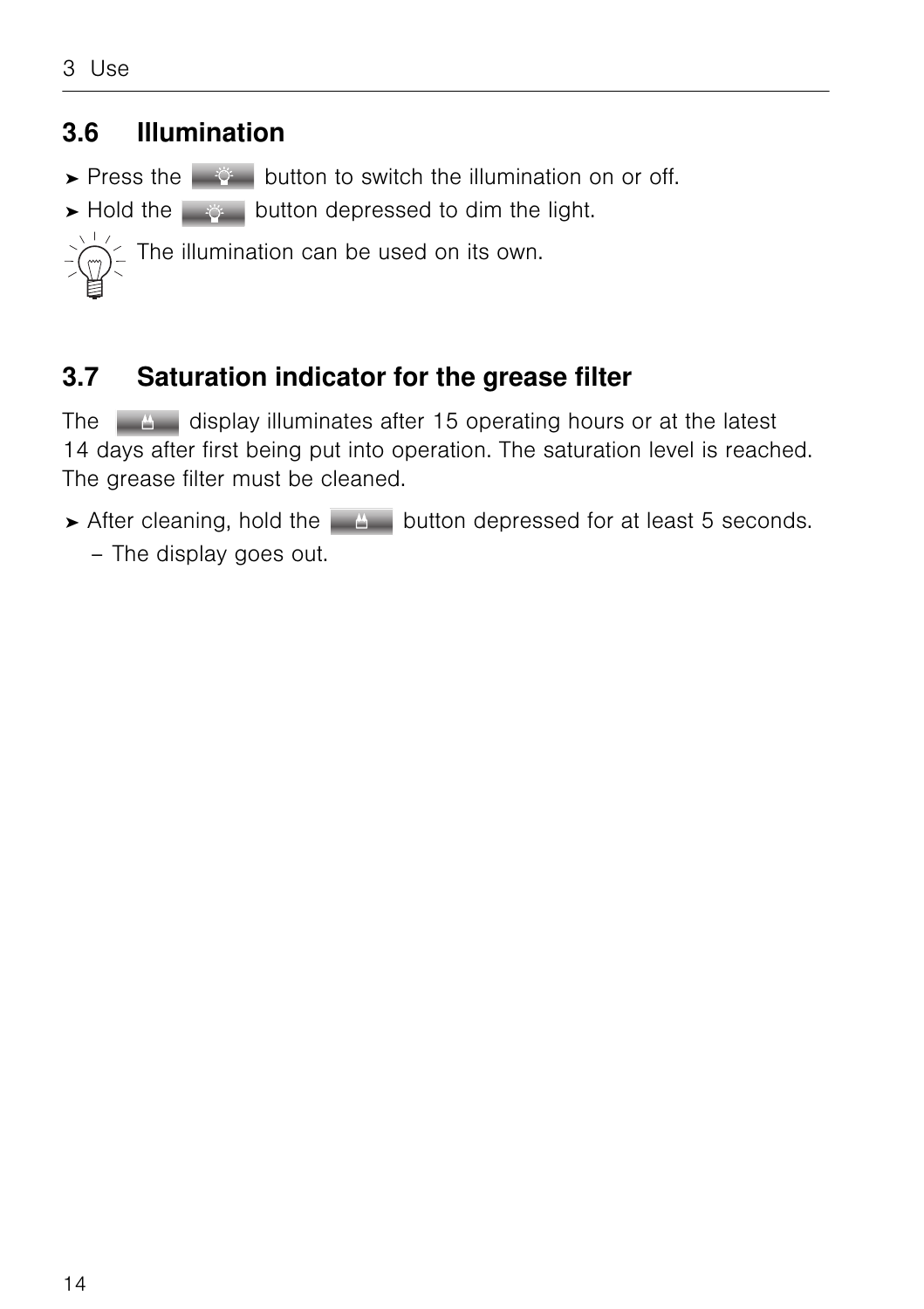## <span id="page-13-0"></span>**3.6 Illumination**

- <span id="page-13-3"></span>► Press the  $\frac{1}{2}$  button to switch the illumination on or off.
- <span id="page-13-4"></span>► Hold the  $\frac{1}{2}$  button depressed to dim the light.



## <span id="page-13-6"></span><span id="page-13-5"></span><span id="page-13-2"></span><span id="page-13-1"></span>**3.7 Saturation indicator for the grease filter**

The  $\Box$  display illuminates after 15 operating hours or at the latest 14 days after first being put into operation. The saturation level is reached. The grease filter must be cleaned.

► After cleaning, hold the **button depressed for at least 5 seconds.** – The display goes out.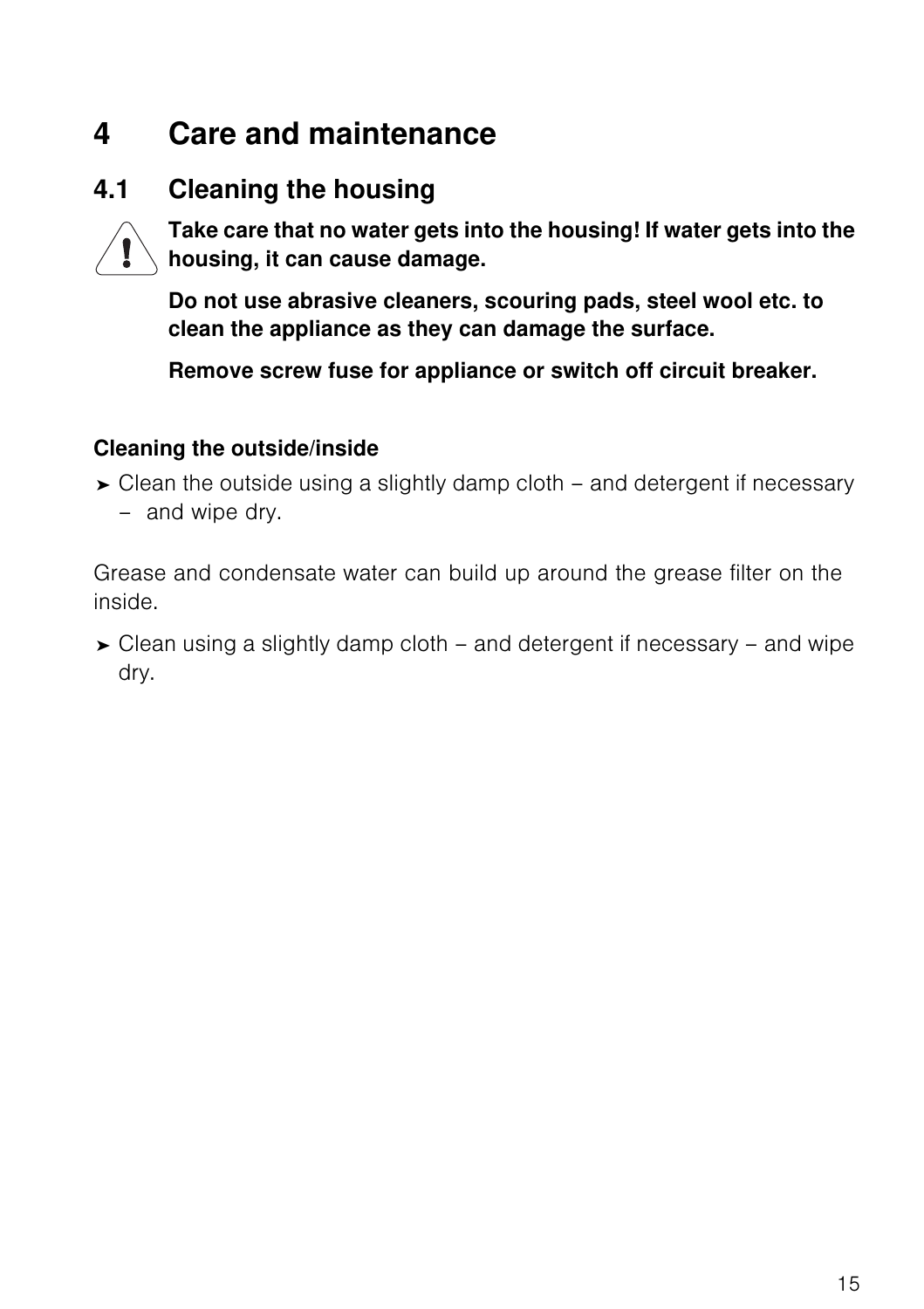# <span id="page-14-2"></span><span id="page-14-0"></span>**4 Care and maintenance**

## <span id="page-14-1"></span>**4.1 Cleaning the housing**



<span id="page-14-5"></span><span id="page-14-4"></span><span id="page-14-3"></span>**Take care that no water gets into the housing! If water gets into the housing, it can cause damage.**

**Do not use abrasive cleaners, scouring pads, steel wool etc. to clean the appliance as they can damage the surface.**

**Remove screw fuse for appliance or switch off circuit breaker.**

#### **Cleaning the outside/inside**

➤ Clean the outside using a slightly damp cloth – and detergent if necessary – and wipe dry.

Grease and condensate water can build up around the grease filter on the inside.

➤ Clean using a slightly damp cloth – and detergent if necessary – and wipe dry.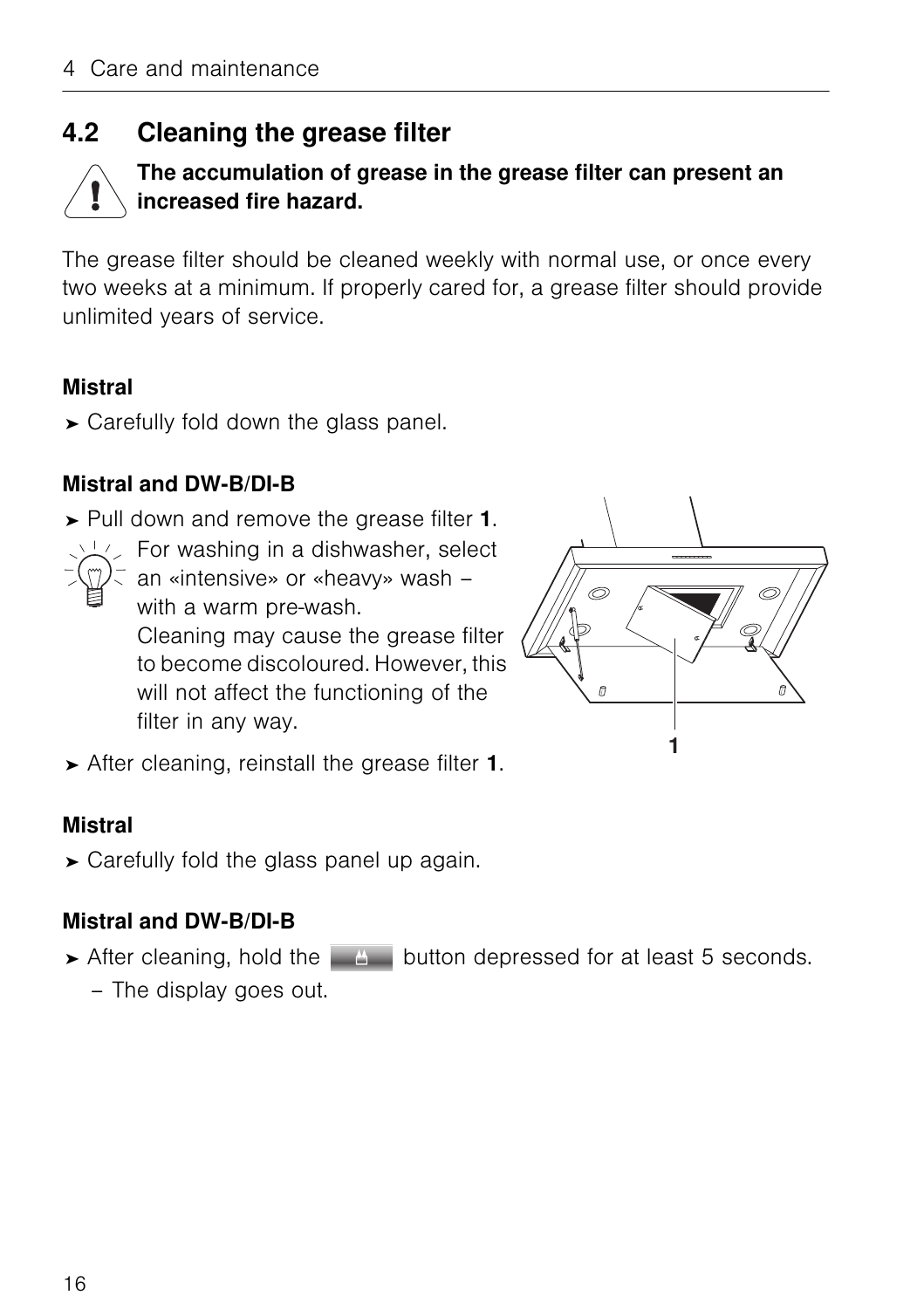## <span id="page-15-0"></span>**4.2 Cleaning the grease filter**



#### <span id="page-15-1"></span>**The accumulation of grease in the grease filter can present an increased fire hazard.**

The grease filter should be cleaned weekly with normal use, or once every two weeks at a minimum. If properly cared for, a grease filter should provide unlimited years of service.

#### **Mistral**

➤ Carefully fold down the glass panel.

#### **Mistral and DW-B/DI-B**

- ➤ Pull down and remove the grease filter **1**.
	- $\leq$  For washing in a dishwasher, select
		- an «intensive» or «heavy» wash with a warm pre-wash. Cleaning may cause the grease filter to become discoloured. However, this will not affect the functioning of the filter in any way.



➤ After cleaning, reinstall the grease filter **1**.

#### **Mistral**

➤ Carefully fold the glass panel up again.

#### **Mistral and DW-B/DI-B**

- ► After cleaning, hold the  $\Box$  button depressed for at least 5 seconds.
	- The display goes out.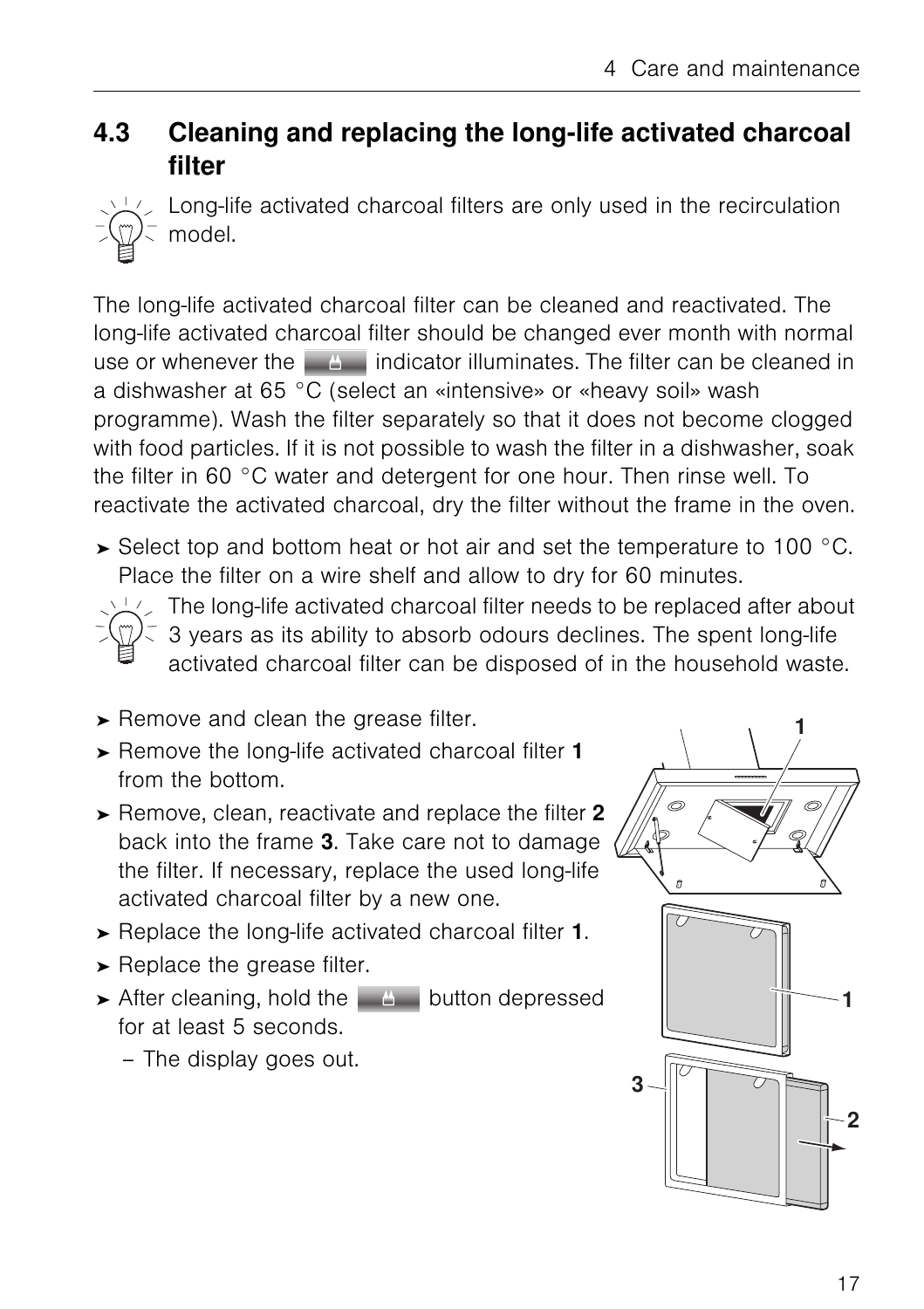### <span id="page-16-2"></span><span id="page-16-0"></span>**4.3 Cleaning and replacing the long-life activated charcoal filter**



<span id="page-16-3"></span><span id="page-16-1"></span>Long-life activated charcoal filters are only used in the recirculation model.

The long-life activated charcoal filter can be cleaned and reactivated. The long-life activated charcoal filter should be changed ever month with normal use or whenever the  $\Box$  indicator illuminates. The filter can be cleaned in a dishwasher at 65 °C (select an «intensive» or «heavy soil» wash programme). Wash the filter separately so that it does not become clogged with food particles. If it is not possible to wash the filter in a dishwasher, soak the filter in 60 °C water and detergent for one hour. Then rinse well. To reactivate the activated charcoal, dry the filter without the frame in the oven.

 $\triangleright$  Select top and bottom heat or hot air and set the temperature to 100 °C. Place the filter on a wire shelf and allow to dry for 60 minutes.

 $\sqrt{2}$  The long-life activated charcoal filter needs to be replaced after about

- 3 years as its ability to absorb odours declines. The spent long-life activated charcoal filter can be disposed of in the household waste.
- ➤ Remove and clean the grease filter.
- ➤ Remove the long-life activated charcoal filter **1** from the bottom.
- ➤ Remove, clean, reactivate and replace the filter **2** back into the frame **3**. Take care not to damage the filter. If necessary, replace the used long-life activated charcoal filter by a new one.
- ➤ Replace the long-life activated charcoal filter **1**.
- ➤ Replace the grease filter.
- $\triangleright$  After cleaning, hold the  $\Box$  button depressed for at least 5 seconds.
	- The display goes out.

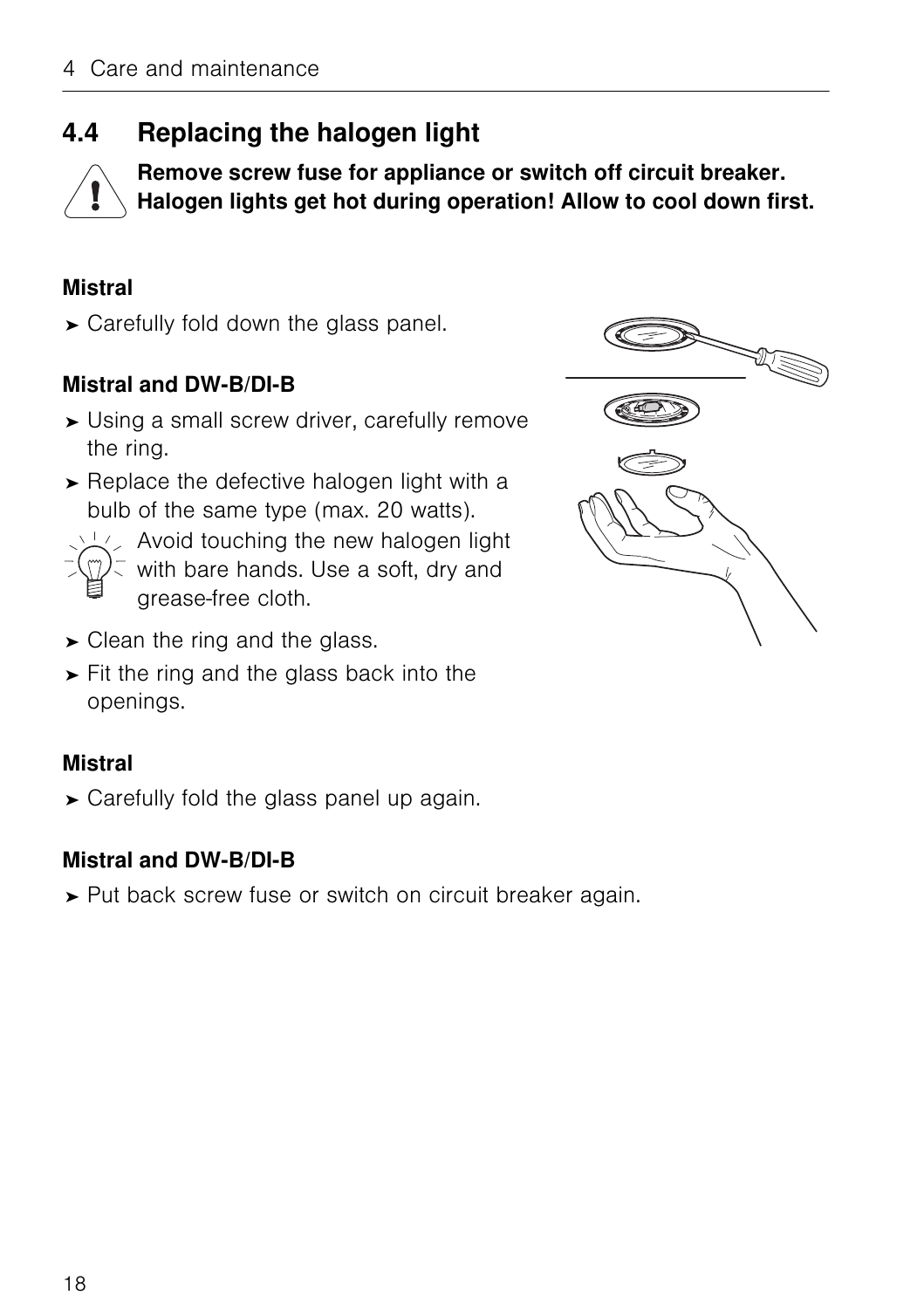## <span id="page-17-0"></span>**4.4 Replacing the halogen light**



<span id="page-17-1"></span>**Remove screw fuse for appliance or switch off circuit breaker. Halogen lights get hot during operation! Allow to cool down first.**

#### **Mistral**

➤ Carefully fold down the glass panel.

#### **Mistral and DW-B/DI-B**

- ➤ Using a small screw driver, carefully remove the ring.
- ➤ Replace the defective halogen light with a bulb of the same type (max. 20 watts).



- $\sqrt{2}$  Avoid touching the new halogen light
	- with bare hands. Use a soft, dry and grease-free cloth.
- $\triangleright$  Clean the ring and the glass.
- ➤ Fit the ring and the glass back into the openings.

#### **Mistral**

➤ Carefully fold the glass panel up again.

#### **Mistral and DW-B/DI-B**

➤ Put back screw fuse or switch on circuit breaker again.

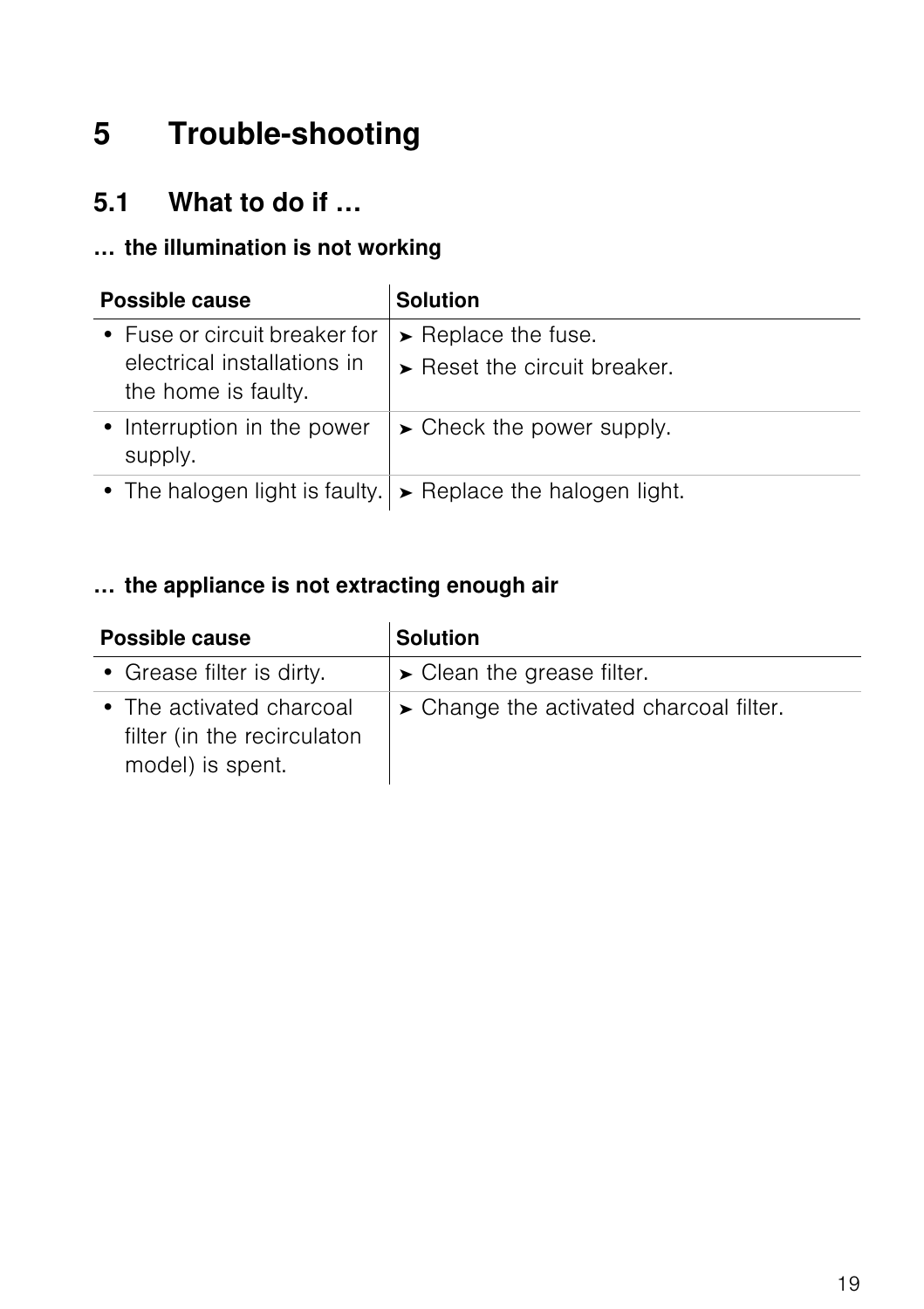# <span id="page-18-2"></span><span id="page-18-0"></span>**5 Trouble-shooting**

### <span id="page-18-1"></span>**5.1 What to do if …**

#### **… the illumination is not working**

| Possible cause                                                                      | <b>Solution</b>                                                            |  |  |  |  |  |
|-------------------------------------------------------------------------------------|----------------------------------------------------------------------------|--|--|--|--|--|
| • Fuse or circuit breaker for<br>electrical installations in<br>the home is faulty. | $\blacktriangleright$ Replace the fuse.<br>Reset the circuit breaker.      |  |  |  |  |  |
| • Interruption in the power<br>supply.                                              | $\triangleright$ Check the power supply.                                   |  |  |  |  |  |
|                                                                                     | • The halogen light is faulty. $\triangleright$ Replace the halogen light. |  |  |  |  |  |

#### **… the appliance is not extracting enough air**

| Possible cause                                                              | <b>Solution</b>                           |  |  |  |  |  |  |
|-----------------------------------------------------------------------------|-------------------------------------------|--|--|--|--|--|--|
| • Grease filter is dirty.                                                   | $\triangleright$ Clean the grease filter. |  |  |  |  |  |  |
| • The activated charcoal<br>filter (in the recirculaton<br>model) is spent. | > Change the activated charcoal filter.   |  |  |  |  |  |  |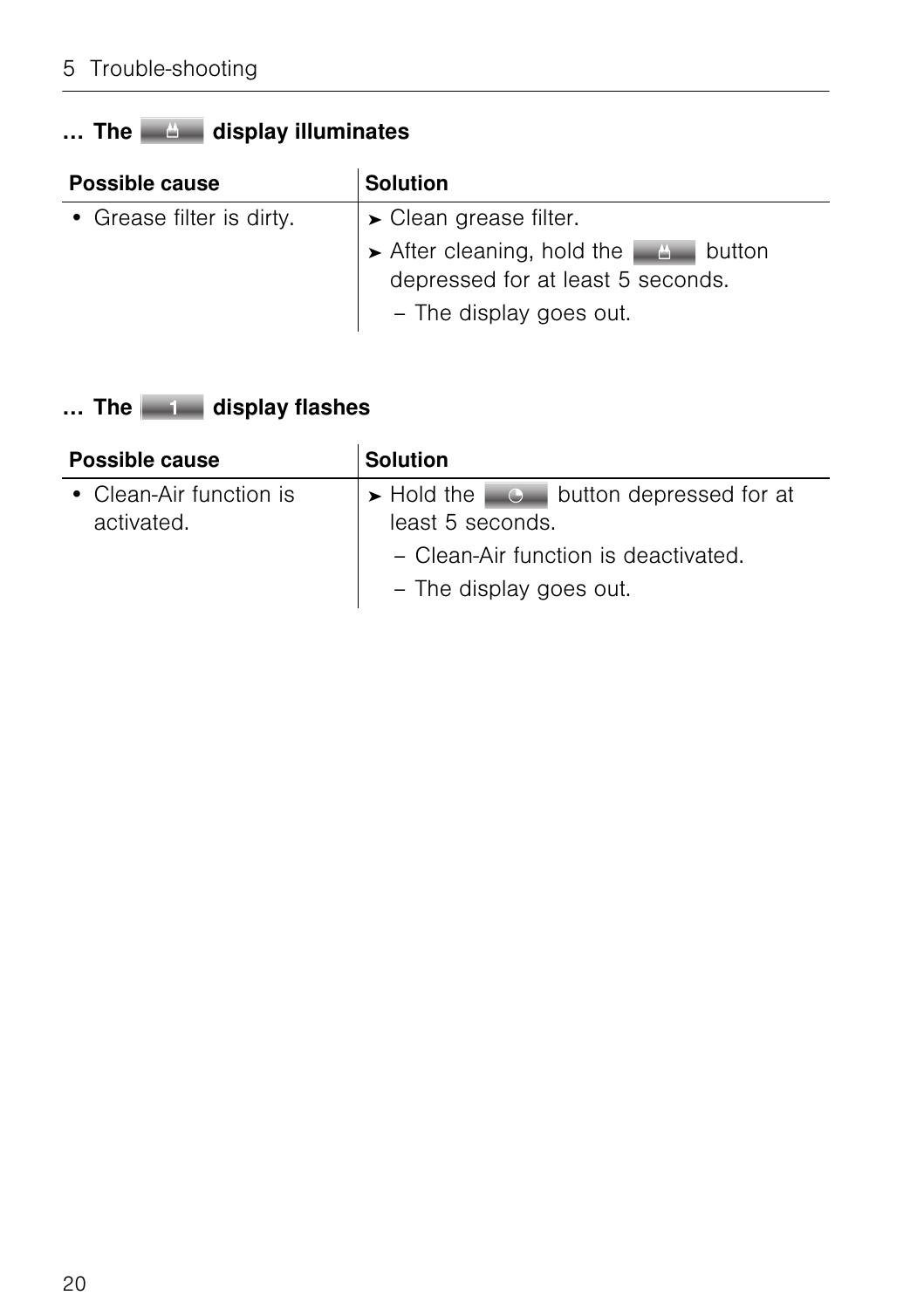### … The **display illuminates**

| Possible cause            | <b>Solution</b>                                                                                   |  |  |  |  |  |  |
|---------------------------|---------------------------------------------------------------------------------------------------|--|--|--|--|--|--|
| • Grease filter is dirty. | $\blacktriangleright$ Clean grease filter.                                                        |  |  |  |  |  |  |
|                           | After cleaning, hold the A button<br>depressed for at least 5 seconds.<br>- The display goes out. |  |  |  |  |  |  |

### ... The **display flashes**

| Possible cause          | <b>Solution</b>                                          |  |  |  |  |  |  |
|-------------------------|----------------------------------------------------------|--|--|--|--|--|--|
| • Clean-Air function is | $\triangleright$ Hold the $\Box$ button depressed for at |  |  |  |  |  |  |
| activated.              | least 5 seconds.                                         |  |  |  |  |  |  |
|                         | - Clean-Air function is deactivated.                     |  |  |  |  |  |  |
|                         | - The display goes out.                                  |  |  |  |  |  |  |
|                         |                                                          |  |  |  |  |  |  |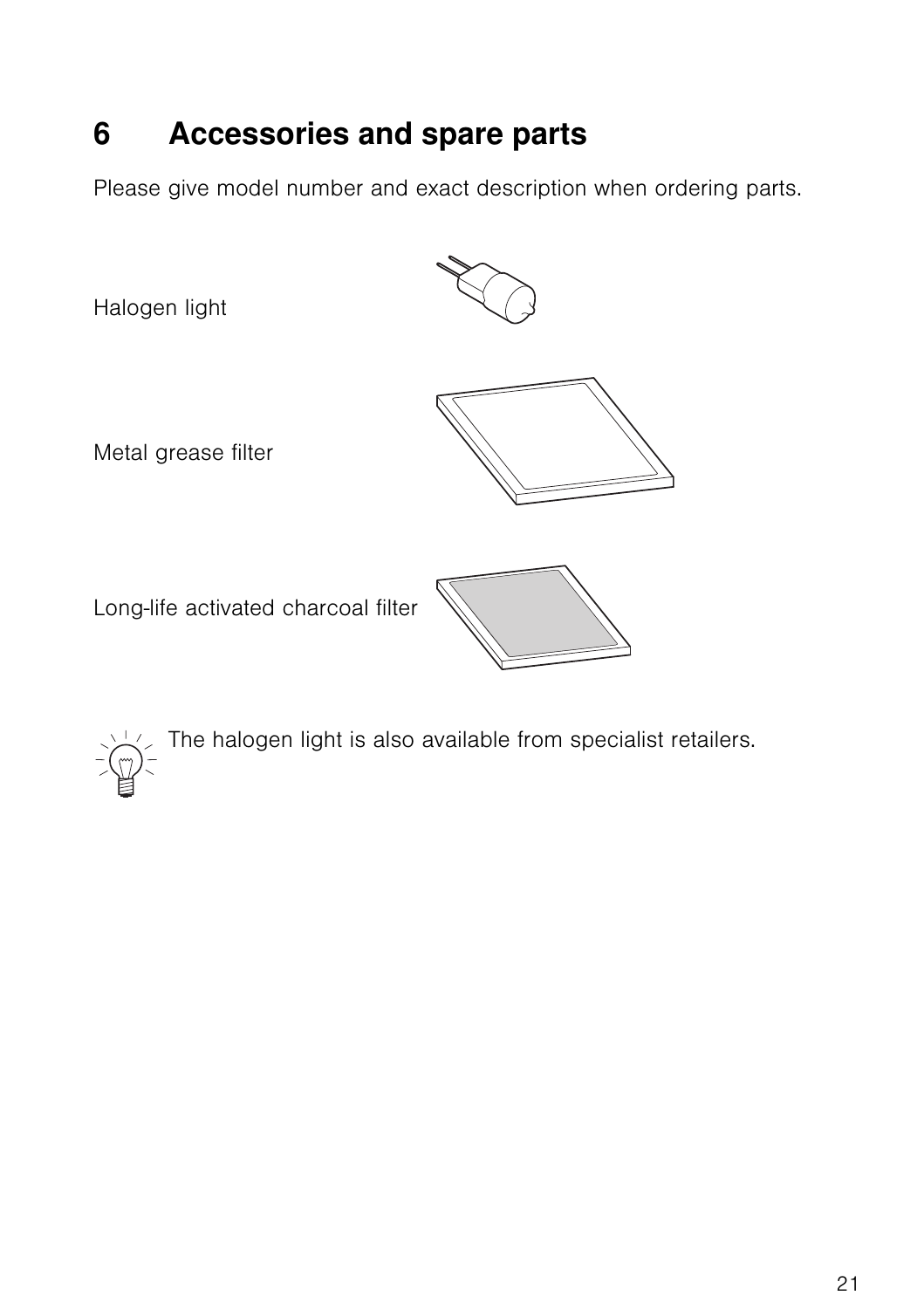# <span id="page-20-1"></span><span id="page-20-0"></span>**6 Accessories and spare parts**

Please give model number and exact description when ordering parts.

Halogen light

Metal grease filter

Long-life activated charcoal filter







<span id="page-20-2"></span>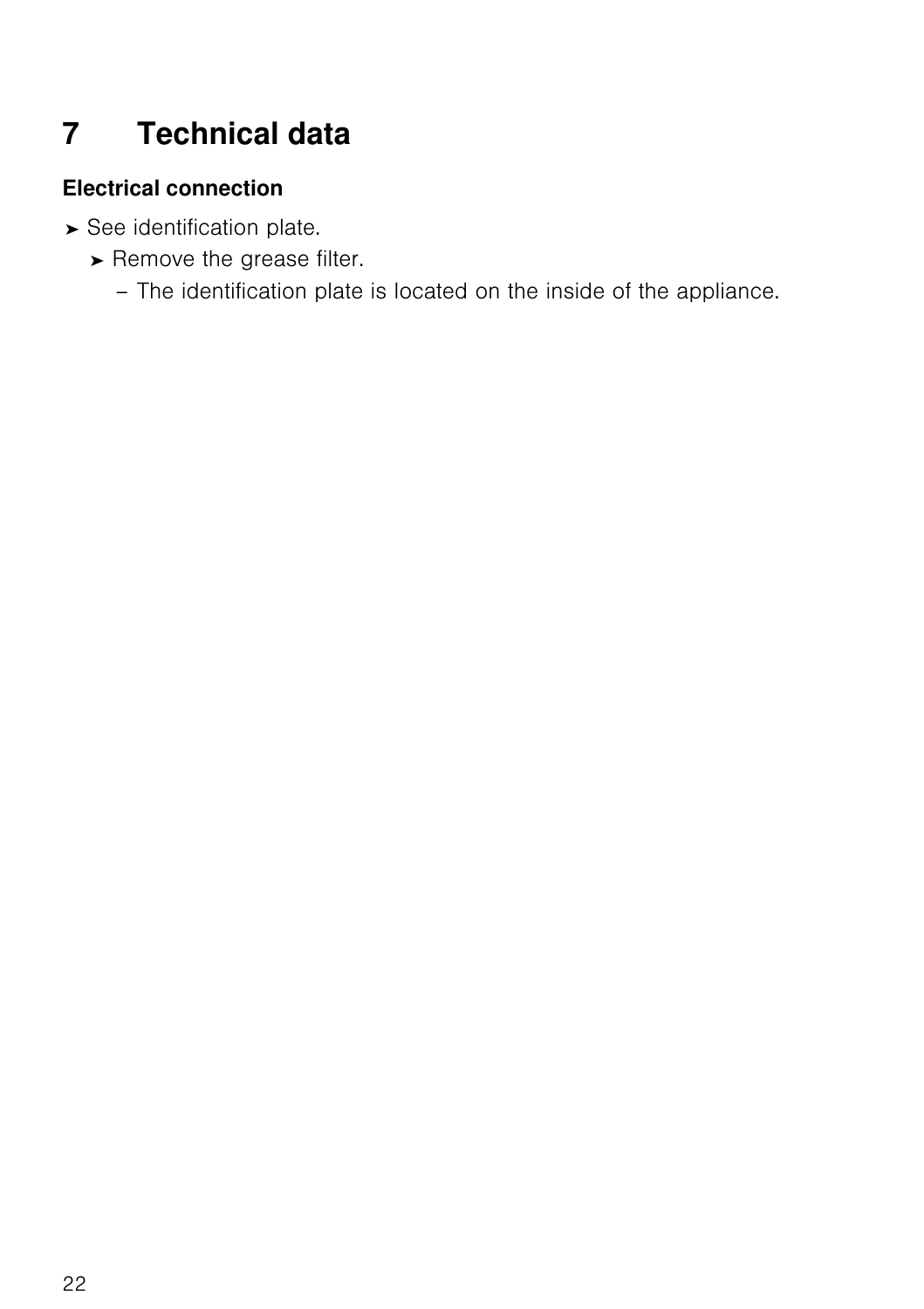# <span id="page-21-3"></span><span id="page-21-0"></span>**7 Technical data**

#### <span id="page-21-1"></span>**Electrical connection**

- <span id="page-21-2"></span>➤ See identification plate.
	- ➤ Remove the grease filter.
		- The identification plate is located on the inside of the appliance.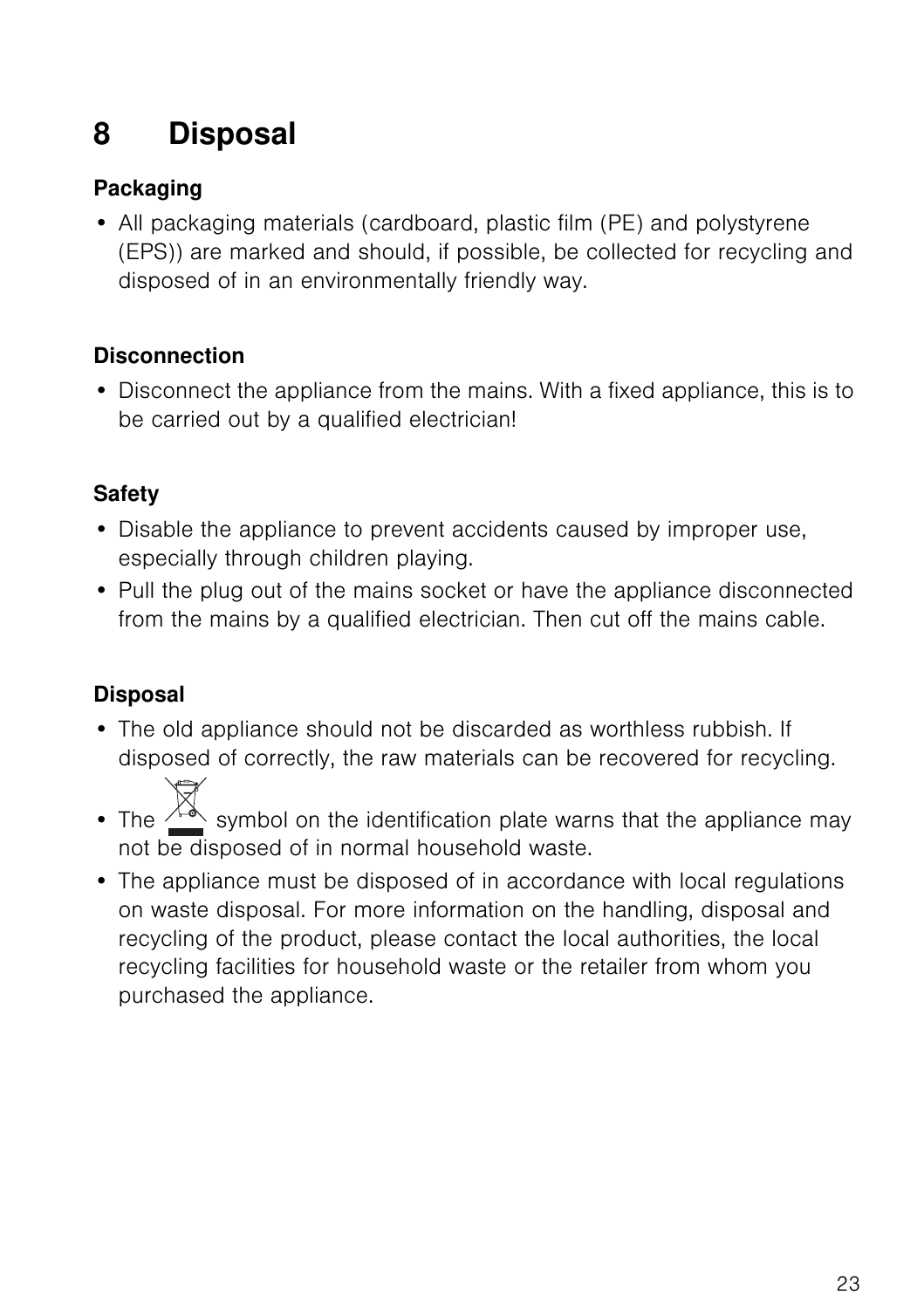# <span id="page-22-0"></span>**8 Disposal**

#### <span id="page-22-3"></span>**Packaging**

• All packaging materials (cardboard, plastic film (PE) and polystyrene (EPS)) are marked and should, if possible, be collected for recycling and disposed of in an environmentally friendly way.

#### <span id="page-22-1"></span>**Disconnection**

• Disconnect the appliance from the mains. With a fixed appliance, this is to be carried out by a qualified electrician!

#### <span id="page-22-4"></span>**Safety**

- Disable the appliance to prevent accidents caused by improper use, especially through children playing.
- Pull the plug out of the mains socket or have the appliance disconnected from the mains by a qualified electrician. Then cut off the mains cable.

#### <span id="page-22-2"></span>**Disposal**

- The old appliance should not be discarded as worthless rubbish. If disposed of correctly, the raw materials can be recovered for recycling.
- The  $\frac{1}{\sqrt{2}}$  symbol on the identification plate warns that the appliance may not be disposed of in normal household waste.
- The appliance must be disposed of in accordance with local regulations on waste disposal. For more information on the handling, disposal and recycling of the product, please contact the local authorities, the local recycling facilities for household waste or the retailer from whom you purchased the appliance.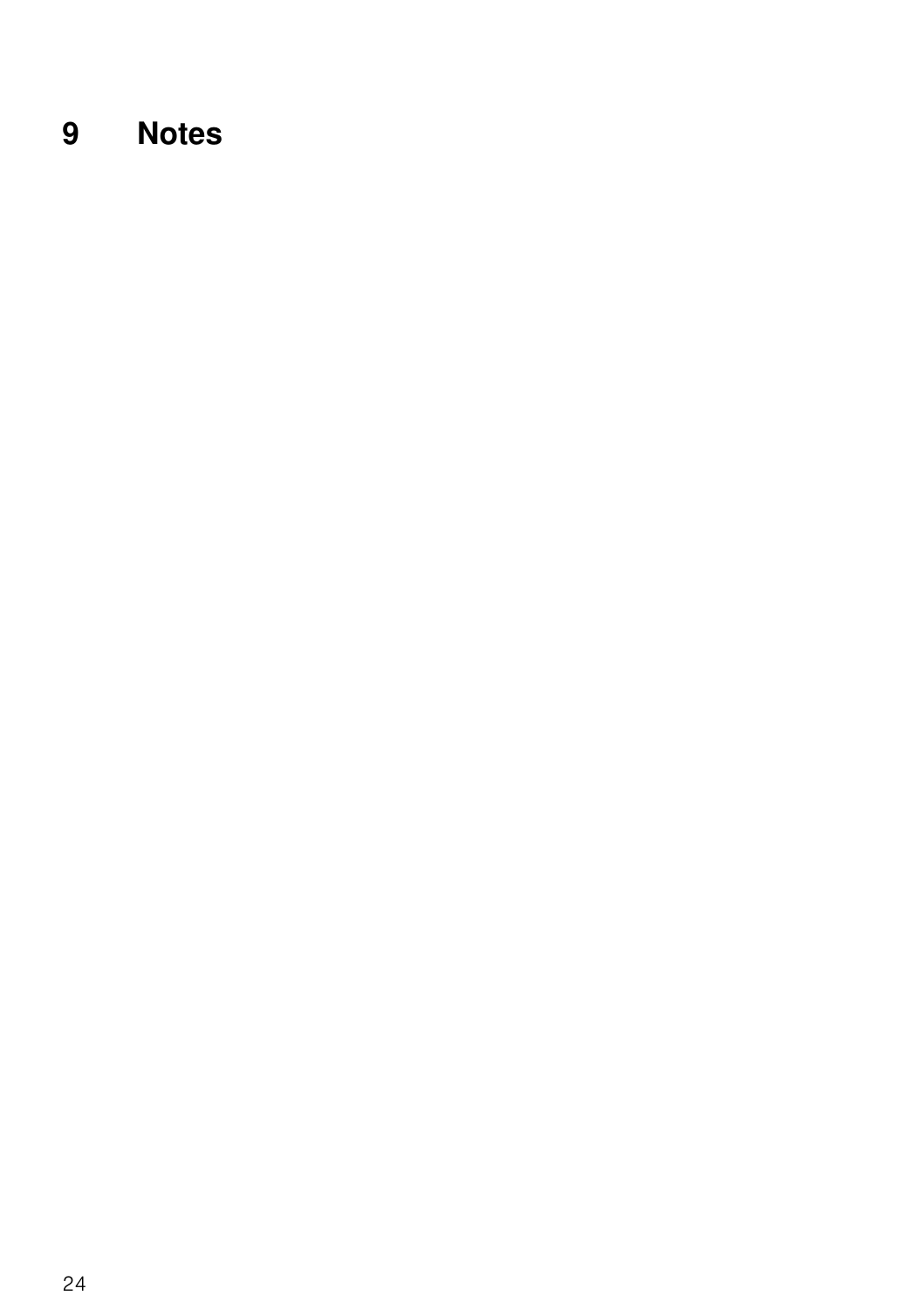# <span id="page-23-0"></span>**9 Notes**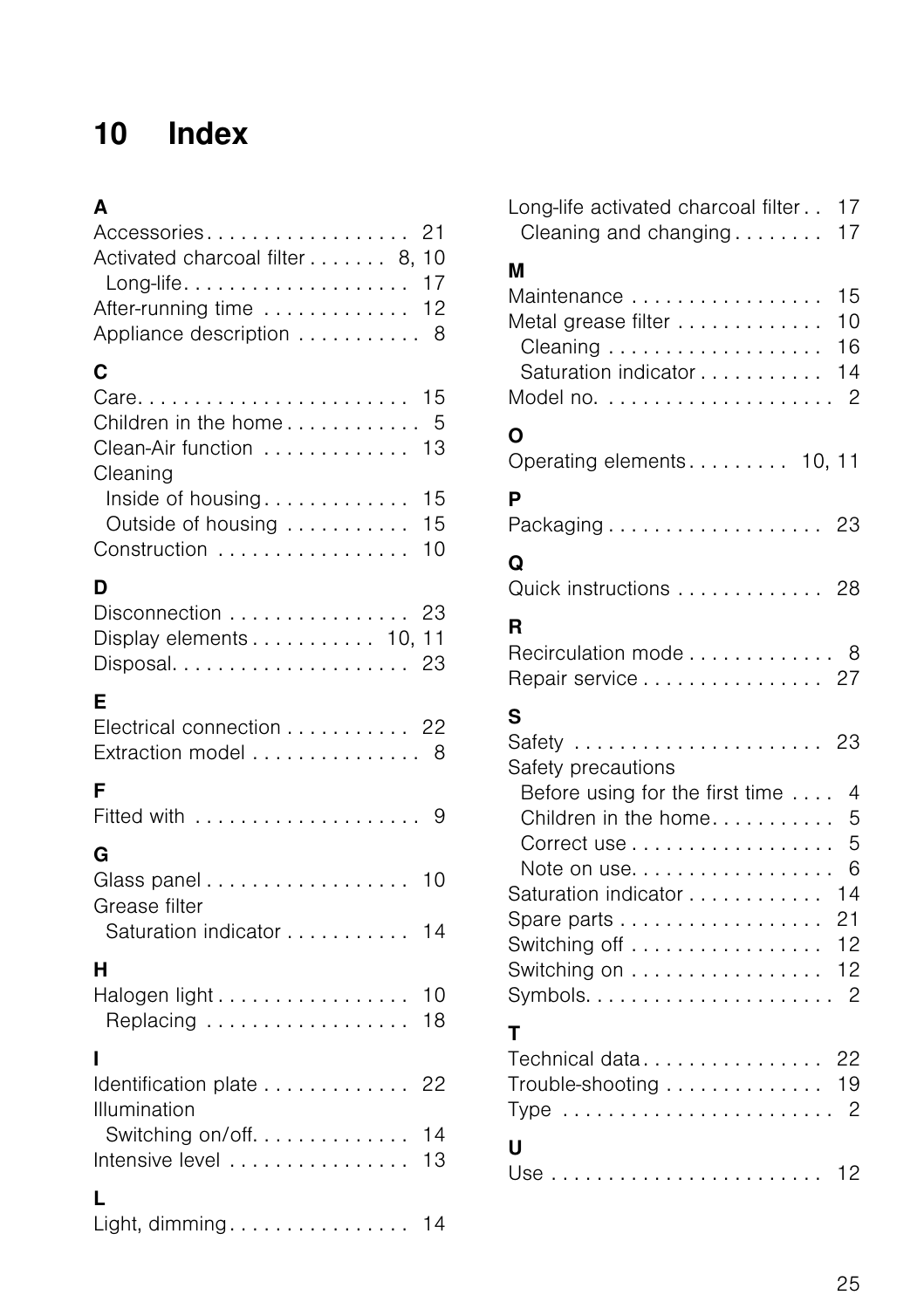# <span id="page-24-0"></span>**10 Index**

## **A**

| Accessories 21<br>Activated charcoal filter 8, 10<br>Long-life 17          |                |
|----------------------------------------------------------------------------|----------------|
| After-running time<br>Appliance description  8                             | 12             |
| C                                                                          |                |
| $Care. \ldots$<br>Children in the home 5<br>Clean-Air function<br>Cleaning | 15<br>13       |
| Inside of housing<br>Outside of housing<br>Construction                    | 15<br>15<br>10 |
| D                                                                          |                |
| Disconnection 23<br>Display elements 10, 11                                | 23             |
| Е<br>Electrical connection 22<br>Extraction model  8                       |                |
| F                                                                          |                |
| G<br>Glass panel<br>Grease filter                                          | 10             |
| Saturation indicator                                                       | 14             |
| н<br>Halogen light<br>Replacing                                            | 10<br>18       |
| ı                                                                          |                |
| Identification plate<br>Illumination<br>Switching on/off                   | 22<br>14       |
| Intensive level                                                            | 13             |
| L<br>Light, dimming                                                        | 14             |

| Long-life activated charcoal filter<br>Cleaning and changing                                                                                                                        | 17<br>17                                                    |
|-------------------------------------------------------------------------------------------------------------------------------------------------------------------------------------|-------------------------------------------------------------|
| М<br>Maintenance<br>Metal grease filter<br>Saturation indicator                                                                                                                     | 15<br>10<br>16<br>14<br>$\overline{c}$                      |
| Ο<br>Operating elements 10, 11                                                                                                                                                      |                                                             |
| P<br>Packaging 23                                                                                                                                                                   |                                                             |
| Q<br>Quick instructions 28                                                                                                                                                          |                                                             |
| R<br>Recirculation mode 8<br>Repair service 27                                                                                                                                      |                                                             |
| S<br>Safety<br>Safety precautions<br>Before using for the first time<br>Children in the home<br>Correct use<br>Note on use<br>Saturation indicator<br>Switching off<br>Switching on | 23<br>$\overline{4}$<br>5<br>5<br>6<br>14<br>21<br>12<br>12 |
| т<br>Technical data 22<br>Trouble-shooting 19                                                                                                                                       |                                                             |
|                                                                                                                                                                                     |                                                             |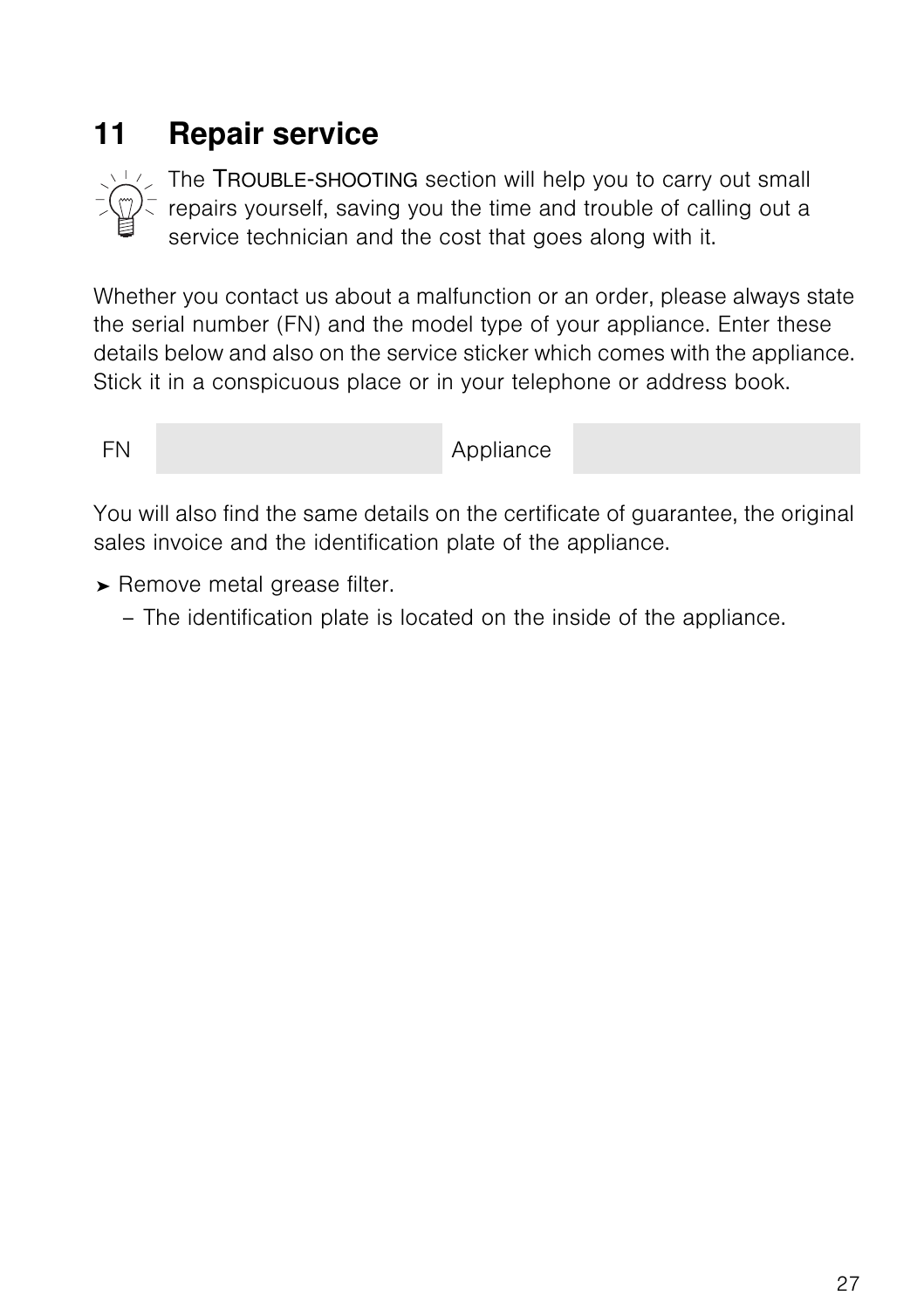# <span id="page-26-0"></span>**11 Repair service**



<span id="page-26-1"></span>The TROUBLE-SHOOTING section will help you to carry out small repairs yourself, saving you the time and trouble of calling out a service technician and the cost that goes along with it.

Whether you contact us about a malfunction or an order, please always state the serial number (FN) and the model type of your appliance. Enter these details below and also on the service sticker which comes with the appliance. Stick it in a conspicuous place or in your telephone or address book.

FN Appliance

You will also find the same details on the certificate of guarantee, the original sales invoice and the identification plate of the appliance.

- ➤ Remove metal grease filter.
	- The identification plate is located on the inside of the appliance.